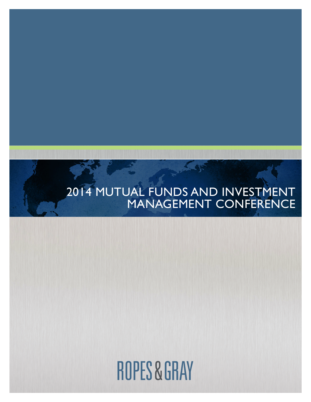# 2014 MUTUAL FUNDS AND INVESTMENT MANAGEMENT CONFERENCE

# **ROPES & GRAY**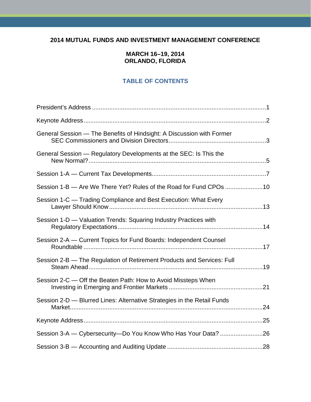# **2014 MUTUAL FUNDS AND INVESTMENT MANAGEMENT CONFERENCE**

# **MARCH 16–19, 2014 ORLANDO, FLORIDA**

# **TABLE OF CONTENTS**

| General Session - The Benefits of Hindsight: A Discussion with Former   |  |
|-------------------------------------------------------------------------|--|
| General Session — Regulatory Developments at the SEC: Is This the       |  |
|                                                                         |  |
| Session 1-B - Are We There Yet? Rules of the Road for Fund CPOs 10      |  |
| Session 1-C — Trading Compliance and Best Execution: What Every         |  |
| Session 1-D - Valuation Trends: Squaring Industry Practices with        |  |
| Session 2-A — Current Topics for Fund Boards: Independent Counsel       |  |
| Session 2-B - The Regulation of Retirement Products and Services: Full  |  |
| Session 2-C — Off the Beaten Path: How to Avoid Missteps When           |  |
| Session 2-D - Blurred Lines: Alternative Strategies in the Retail Funds |  |
|                                                                         |  |
|                                                                         |  |
|                                                                         |  |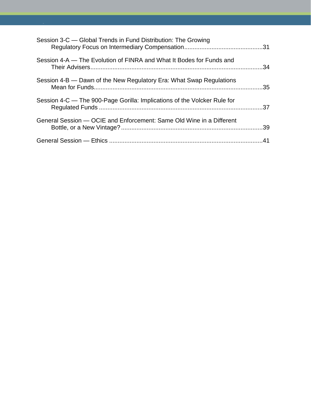| Session 3-C - Global Trends in Fund Distribution: The Growing            |     |
|--------------------------------------------------------------------------|-----|
| Session 4-A – The Evolution of FINRA and What It Bodes for Funds and     |     |
| Session 4-B — Dawn of the New Regulatory Era: What Swap Regulations      |     |
| Session 4-C — The 900-Page Gorilla: Implications of the Volcker Rule for |     |
| General Session — OCIE and Enforcement: Same Old Wine in a Different     |     |
|                                                                          | .41 |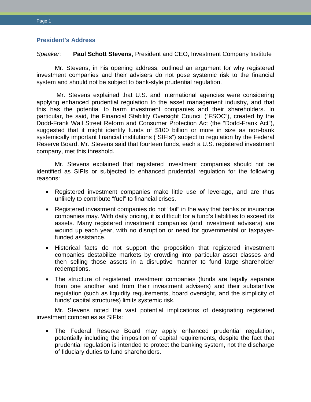# <span id="page-3-0"></span>**President's Address**

*Speaker*: **Paul Schott Stevens**, President and CEO, Investment Company Institute

Mr. Stevens, in his opening address, outlined an argument for why registered investment companies and their advisers do not pose systemic risk to the financial system and should not be subject to bank-style prudential regulation.

Mr. Stevens explained that U.S. and international agencies were considering applying enhanced prudential regulation to the asset management industry, and that this has the potential to harm investment companies and their shareholders. In particular, he said, the Financial Stability Oversight Council ("FSOC"), created by the Dodd-Frank Wall Street Reform and Consumer Protection Act (the "Dodd-Frank Act"), suggested that it might identify funds of \$100 billion or more in size as non-bank systemically important financial institutions ("SIFIs") subject to regulation by the Federal Reserve Board. Mr. Stevens said that fourteen funds, each a U.S. registered investment company, met this threshold.

Mr. Stevens explained that registered investment companies should not be identified as SIFIs or subjected to enhanced prudential regulation for the following reasons:

- Registered investment companies make little use of leverage, and are thus unlikely to contribute "fuel" to financial crises.
- Registered investment companies do not "fail" in the way that banks or insurance companies may. With daily pricing, it is difficult for a fund's liabilities to exceed its assets. Many registered investment companies (and investment advisers) are wound up each year, with no disruption or need for governmental or taxpayerfunded assistance.
- Historical facts do not support the proposition that registered investment companies destabilize markets by crowding into particular asset classes and then selling those assets in a disruptive manner to fund large shareholder redemptions.
- The structure of registered investment companies (funds are legally separate from one another and from their investment advisers) and their substantive regulation (such as liquidity requirements, board oversight, and the simplicity of funds' capital structures) limits systemic risk.

Mr. Stevens noted the vast potential implications of designating registered investment companies as SIFIs:

• The Federal Reserve Board may apply enhanced prudential regulation, potentially including the imposition of capital requirements, despite the fact that prudential regulation is intended to protect the banking system, not the discharge of fiduciary duties to fund shareholders.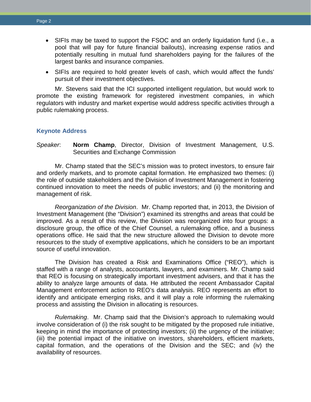- SIFIs may be taxed to support the FSOC and an orderly liquidation fund (i.e., a pool that will pay for future financial bailouts), increasing expense ratios and potentially resulting in mutual fund shareholders paying for the failures of the largest banks and insurance companies.
- SIFIs are required to hold greater levels of cash, which would affect the funds' pursuit of their investment objectives.

Mr. Stevens said that the ICI supported intelligent regulation, but would work to promote the existing framework for registered investment companies, in which regulators with industry and market expertise would address specific activities through a public rulemaking process.

#### <span id="page-4-0"></span>**Keynote Address**

*Speaker*: **Norm Champ**, Director, Division of Investment Management, U.S. Securities and Exchange Commission

Mr. Champ stated that the SEC's mission was to protect investors, to ensure fair and orderly markets, and to promote capital formation. He emphasized two themes: (i) the role of outside stakeholders and the Division of Investment Management in fostering continued innovation to meet the needs of public investors; and (ii) the monitoring and management of risk.

*Reorganization of the Division*. Mr. Champ reported that, in 2013, the Division of Investment Management (the "Division") examined its strengths and areas that could be improved. As a result of this review, the Division was reorganized into four groups: a disclosure group, the office of the Chief Counsel, a rulemaking office, and a business operations office. He said that the new structure allowed the Division to devote more resources to the study of exemptive applications, which he considers to be an important source of useful innovation.

The Division has created a Risk and Examinations Office ("REO"), which is staffed with a range of analysts, accountants, lawyers, and examiners. Mr. Champ said that REO is focusing on strategically important investment advisers, and that it has the ability to analyze large amounts of data. He attributed the recent Ambassador Capital Management enforcement action to REO's data analysis. REO represents an effort to identify and anticipate emerging risks, and it will play a role informing the rulemaking process and assisting the Division in allocating is resources.

*Rulemaking*. Mr. Champ said that the Division's approach to rulemaking would involve consideration of (i) the risk sought to be mitigated by the proposed rule initiative, keeping in mind the importance of protecting investors; (ii) the urgency of the initiative; (iii) the potential impact of the initiative on investors, shareholders, efficient markets, capital formation, and the operations of the Division and the SEC; and (iv) the availability of resources.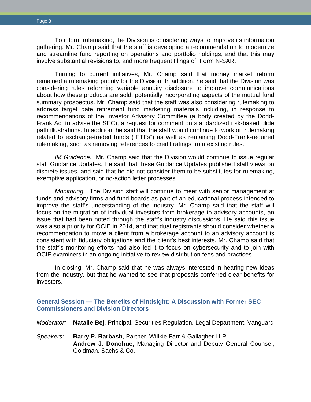To inform rulemaking, the Division is considering ways to improve its information gathering. Mr. Champ said that the staff is developing a recommendation to modernize and streamline fund reporting on operations and portfolio holdings, and that this may involve substantial revisions to, and more frequent filings of, Form N-SAR.

Turning to current initiatives, Mr. Champ said that money market reform remained a rulemaking priority for the Division. In addition, he said that the Division was considering rules reforming variable annuity disclosure to improve communications about how these products are sold, potentially incorporating aspects of the mutual fund summary prospectus. Mr. Champ said that the staff was also considering rulemaking to address target date retirement fund marketing materials including, in response to recommendations of the Investor Advisory Committee (a body created by the Dodd-Frank Act to advise the SEC), a request for comment on standardized risk-based glide path illustrations. In addition, he said that the staff would continue to work on rulemaking related to exchange-traded funds ("ETFs") as well as remaining Dodd-Frank-required rulemaking, such as removing references to credit ratings from existing rules.

*IM Guidance*. Mr. Champ said that the Division would continue to issue regular staff Guidance Updates. He said that these Guidance Updates published staff views on discrete issues, and said that he did not consider them to be substitutes for rulemaking, exemptive application, or no-action letter processes.

*Monitoring*. The Division staff will continue to meet with senior management at funds and advisory firms and fund boards as part of an educational process intended to improve the staff's understanding of the industry. Mr. Champ said that the staff will focus on the migration of individual investors from brokerage to advisory accounts, an issue that had been noted through the staff's industry discussions. He said this issue was also a priority for OCIE in 2014, and that dual registrants should consider whether a recommendation to move a client from a brokerage account to an advisory account is consistent with fiduciary obligations and the client's best interests. Mr. Champ said that the staff's monitoring efforts had also led it to focus on cybersecurity and to join with OCIE examiners in an ongoing initiative to review distribution fees and practices.

<span id="page-5-0"></span>In closing, Mr. Champ said that he was always interested in hearing new ideas from the industry, but that he wanted to see that proposals conferred clear benefits for investors.

# **General Session — The Benefits of Hindsight: A Discussion with Former SEC Commissioners and Division Directors**

*Moderator:* **Natalie Bej**, Principal, Securities Regulation, Legal Department, Vanguard

*Speakers*: **Barry P. Barbash**, Partner, Willkie Farr & Gallagher LLP **Andrew J. Donohue**, Managing Director and Deputy General Counsel, Goldman, Sachs & Co.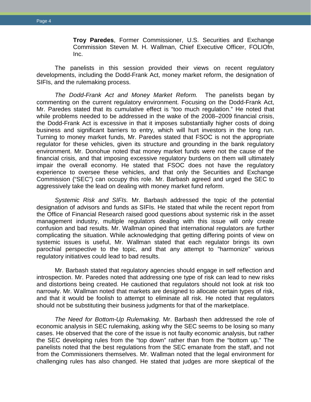**Troy Paredes**, Former Commissioner, U.S. Securities and Exchange Commission Steven M. H. Wallman, Chief Executive Officer, FOLIOfn, Inc.

The panelists in this session provided their views on recent regulatory developments, including the Dodd-Frank Act, money market reform, the designation of SIFIs, and the rulemaking process.

*The Dodd-Frank Act and Money Market Reform.* The panelists began by commenting on the current regulatory environment. Focusing on the Dodd-Frank Act, Mr. Paredes stated that its cumulative effect is "too much regulation." He noted that while problems needed to be addressed in the wake of the 2008–2009 financial crisis, the Dodd-Frank Act is excessive in that it imposes substantially higher costs of doing business and significant barriers to entry, which will hurt investors in the long run. Turning to money market funds, Mr. Paredes stated that FSOC is not the appropriate regulator for these vehicles, given its structure and grounding in the bank regulatory environment. Mr. Donohue noted that money market funds were not the cause of the financial crisis, and that imposing excessive regulatory burdens on them will ultimately impair the overall economy. He stated that FSOC does not have the regulatory experience to oversee these vehicles, and that only the Securities and Exchange Commission ("SEC") can occupy this role. Mr. Barbash agreed and urged the SEC to aggressively take the lead on dealing with money market fund reform.

*Systemic Risk and SIFIs.* Mr. Barbash addressed the topic of the potential designation of advisors and funds as SIFIs. He stated that while the recent report from the Office of Financial Research raised good questions about systemic risk in the asset management industry, multiple regulators dealing with this issue will only create confusion and bad results. Mr. Wallman opined that international regulators are further complicating the situation. While acknowledging that getting differing points of view on systemic issues is useful, Mr. Wallman stated that each regulator brings its own parochial perspective to the topic, and that any attempt to "harmonize" various regulatory initiatives could lead to bad results.

Mr. Barbash stated that regulatory agencies should engage in self reflection and introspection. Mr. Paredes noted that addressing one type of risk can lead to new risks and distortions being created. He cautioned that regulators should not look at risk too narrowly. Mr. Wallman noted that markets are designed to allocate certain types of risk, and that it would be foolish to attempt to eliminate all risk. He noted that regulators should not be substituting their business judgments for that of the marketplace.

*The Need for Bottom-Up Rulemaking.* Mr. Barbash then addressed the role of economic analysis in SEC rulemaking, asking why the SEC seems to be losing so many cases. He observed that the core of the issue is not faulty economic analysis, but rather the SEC developing rules from the "top down" rather than from the "bottom up." The panelists noted that the best regulations from the SEC emanate from the staff, and not from the Commissioners themselves. Mr. Wallman noted that the legal environment for challenging rules has also changed. He stated that judges are more skeptical of the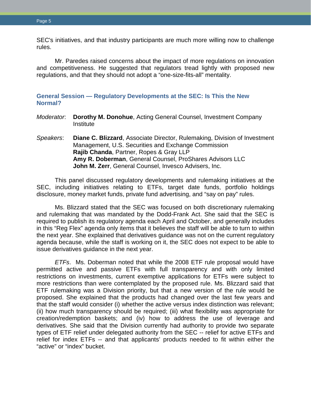SEC's initiatives, and that industry participants are much more willing now to challenge rules.

Mr. Paredes raised concerns about the impact of more regulations on innovation and competitiveness. He suggested that regulators tread lightly with proposed new regulations, and that they should not adopt a "one-size-fits-all" mentality.

<span id="page-7-0"></span>**General Session — Regulatory Developments at the SEC: Is This the New Normal?**

- *Moderator*: **Dorothy M. Donohue**, Acting General Counsel, Investment Company **Institute**
- *Speakers*: **Diane C. Blizzard**, Associate Director, Rulemaking, Division of Investment Management, U.S. Securities and Exchange Commission **Rajib Chanda**, Partner, Ropes & Gray LLP **Amy R. Doberman**, General Counsel, ProShares Advisors LLC **John M. Zerr**, General Counsel, Invesco Advisers, Inc.

This panel discussed regulatory developments and rulemaking initiatives at the SEC, including initiatives relating to ETFs, target date funds, portfolio holdings disclosure, money market funds, private fund advertising, and "say on pay" rules.

Ms. Blizzard stated that the SEC was focused on both discretionary rulemaking and rulemaking that was mandated by the Dodd-Frank Act. She said that the SEC is required to publish its regulatory agenda each April and October, and generally includes in this "Reg Flex" agenda only items that it believes the staff will be able to turn to within the next year. She explained that derivatives guidance was not on the current regulatory agenda because, while the staff is working on it, the SEC does not expect to be able to issue derivatives guidance in the next year.

*ETFs*. Ms. Doberman noted that while the 2008 ETF rule proposal would have permitted active and passive ETFs with full transparency and with only limited restrictions on investments, current exemptive applications for ETFs were subject to more restrictions than were contemplated by the proposed rule. Ms. Blizzard said that ETF rulemaking was a Division priority, but that a new version of the rule would be proposed. She explained that the products had changed over the last few years and that the staff would consider (i) whether the active versus index distinction was relevant; (ii) how much transparency should be required; (iii) what flexibility was appropriate for creation/redemption baskets; and (iv) how to address the use of leverage and derivatives. She said that the Division currently had authority to provide two separate types of ETF relief under delegated authority from the SEC -- relief for active ETFs and relief for index ETFs -- and that applicants' products needed to fit within either the "active" or "index" bucket.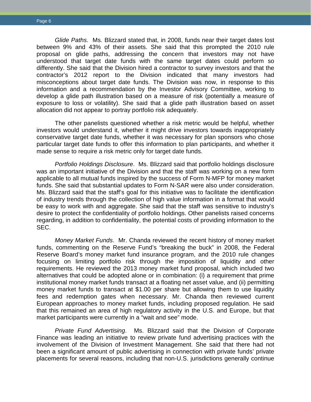*Glide Paths*. Ms. Blizzard stated that, in 2008, funds near their target dates lost between 9% and 43% of their assets. She said that this prompted the 2010 rule proposal on glide paths, addressing the concern that investors may not have understood that target date funds with the same target dates could perform so differently. She said that the Division hired a contractor to survey investors and that the contractor's 2012 report to the Division indicated that many investors had misconceptions about target date funds. The Division was now, in response to this information and a recommendation by the Investor Advisory Committee, working to develop a glide path illustration based on a measure of risk (potentially a measure of exposure to loss or volatility). She said that a glide path illustration based on asset allocation did not appear to portray portfolio risk adequately.

The other panelists questioned whether a risk metric would be helpful, whether investors would understand it, whether it might drive investors towards inappropriately conservative target date funds, whether it was necessary for plan sponsors who chose particular target date funds to offer this information to plan participants, and whether it made sense to require a risk metric only for target date funds.

*Portfolio Holdings Disclosure*. Ms. Blizzard said that portfolio holdings disclosure was an important initiative of the Division and that the staff was working on a new form applicable to all mutual funds inspired by the success of Form N-MFP for money market funds. She said that substantial updates to Form N-SAR were also under consideration. Ms. Blizzard said that the staff's goal for this initiative was to facilitate the identification of industry trends through the collection of high value information in a format that would be easy to work with and aggregate. She said that the staff was sensitive to industry's desire to protect the confidentiality of portfolio holdings. Other panelists raised concerns regarding, in addition to confidentiality, the potential costs of providing information to the SEC.

*Money Market Funds*. Mr. Chanda reviewed the recent history of money market funds, commenting on the Reserve Fund's "breaking the buck" in 2008, the Federal Reserve Board's money market fund insurance program, and the 2010 rule changes focusing on limiting portfolio risk through the imposition of liquidity and other requirements. He reviewed the 2013 money market fund proposal, which included two alternatives that could be adopted alone or in combination: (i) a requirement that prime institutional money market funds transact at a floating net asset value, and (ii) permitting money market funds to transact at \$1.00 per share but allowing them to use liquidity fees and redemption gates when necessary. Mr. Chanda then reviewed current European approaches to money market funds, including proposed regulation. He said that this remained an area of high regulatory activity in the U.S. and Europe, but that market participants were currently in a "wait and see" mode.

*Private Fund Advertising*. Ms. Blizzard said that the Division of Corporate Finance was leading an initiative to review private fund advertising practices with the involvement of the Division of Investment Management. She said that there had not been a significant amount of public advertising in connection with private funds' private placements for several reasons, including that non-U.S. jurisdictions generally continue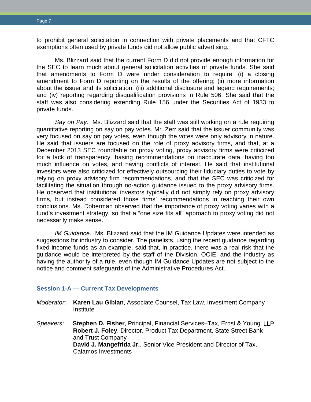to prohibit general solicitation in connection with private placements and that CFTC exemptions often used by private funds did not allow public advertising.

Ms. Blizzard said that the current Form D did not provide enough information for the SEC to learn much about general solicitation activities of private funds. She said that amendments to Form D were under consideration to require: (i) a closing amendment to Form D reporting on the results of the offering; (ii) more information about the issuer and its solicitation; (iii) additional disclosure and legend requirements; and (iv) reporting regarding disqualification provisions in Rule 506. She said that the staff was also considering extending Rule 156 under the Securities Act of 1933 to private funds.

*Say on Pay*. Ms. Blizzard said that the staff was still working on a rule requiring quantitative reporting on say on pay votes. Mr. Zerr said that the issuer community was very focused on say on pay votes, even though the votes were only advisory in nature. He said that issuers are focused on the role of proxy advisory firms, and that, at a December 2013 SEC roundtable on proxy voting, proxy advisory firms were criticized for a lack of transparency, basing recommendations on inaccurate data, having too much influence on votes, and having conflicts of interest. He said that institutional investors were also criticized for effectively outsourcing their fiduciary duties to vote by relying on proxy advisory firm recommendations, and that the SEC was criticized for facilitating the situation through no-action guidance issued to the proxy advisory firms. He observed that institutional investors typically did not simply rely on proxy advisory firms, but instead considered those firms' recommendations in reaching their own conclusions. Ms. Doberman observed that the importance of proxy voting varies with a fund's investment strategy, so that a "one size fits all" approach to proxy voting did not necessarily make sense.

*IM Guidance*. Ms. Blizzard said that the IM Guidance Updates were intended as suggestions for industry to consider. The panelists, using the recent guidance regarding fixed income funds as an example, said that, in practice, there was a real risk that the guidance would be interpreted by the staff of the Division, OCIE, and the industry as having the authority of a rule, even though IM Guidance Updates are not subject to the notice and comment safeguards of the Administrative Procedures Act.

#### <span id="page-9-0"></span>**Session 1-A — Current Tax Developments**

- *Moderator*: **Karen Lau Gibian**, Associate Counsel, Tax Law, Investment Company Institute
- *Speakers*: **Stephen D. Fisher**, Principal, Financial Services–Tax, Ernst & Young, LLP **Robert J. Foley**, Director, Product Tax Department, State Street Bank and Trust Company **David J. Mangefrida Jr.**, Senior Vice President and Director of Tax, Calamos Investments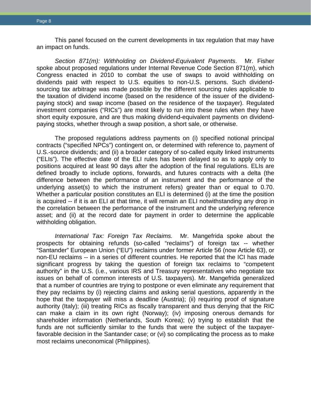This panel focused on the current developments in tax regulation that may have an impact on funds.

*Section 871(m): Withholding on Dividend-Equivalent Payments*. Mr. Fisher spoke about proposed regulations under Internal Revenue Code Section 871(m), which Congress enacted in 2010 to combat the use of swaps to avoid withholding on dividends paid with respect to U.S. equities to non-U.S. persons. Such dividendsourcing tax arbitrage was made possible by the different sourcing rules applicable to the taxation of dividend income (based on the residence of the issuer of the dividendpaying stock) and swap income (based on the residence of the taxpayer). Regulated investment companies ("RICs") are most likely to run into these rules when they have short equity exposure, and are thus making dividend-equivalent payments on dividendpaying stocks, whether through a swap position, a short sale, or otherwise.

The proposed regulations address payments on (i) specified notional principal contracts ("specified NPCs") contingent on, or determined with reference to, payment of U.S.-source dividends; and (ii) a broader category of so-called equity linked instruments ("ELIs"). The effective date of the ELI rules has been delayed so as to apply only to positions acquired at least 90 days after the adoption of the final regulations. ELIs are defined broadly to include options, forwards, and futures contracts with a delta (the difference between the performance of an instrument and the performance of the underlying asset(s) to which the instrument refers) greater than or equal to 0.70. Whether a particular position constitutes an ELI is determined (i) at the time the position is acquired -- if it is an ELI at that time, it will remain an ELI notwithstanding any drop in the correlation between the performance of the instrument and the underlying reference asset; and (ii) at the record date for payment in order to determine the applicable withholding obligation.

*International Tax: Foreign Tax Reclaims.* Mr. Mangefrida spoke about the prospects for obtaining refunds (so-called "reclaims") of foreign tax -- whether "Santander" European Union ("EU") reclaims under former Article 56 (now Article 63), or non-EU reclaims -- in a series of different countries. He reported that the ICI has made significant progress by taking the question of foreign tax reclaims to "competent authority" in the U.S. (i.e., various IRS and Treasury representatives who negotiate tax issues on behalf of common interests of U.S. taxpayers). Mr. Mangefrida generalized that a number of countries are trying to postpone or even eliminate any requirement that they pay reclaims by (i) rejecting claims and asking serial questions, apparently in the hope that the taxpayer will miss a deadline (Austria); (ii) requiring proof of signature authority (Italy); (iii) treating RICs as fiscally transparent and thus denying that the RIC can make a claim in its own right (Norway); (iv) imposing onerous demands for shareholder information (Netherlands, South Korea); (v) trying to establish that the funds are not sufficiently similar to the funds that were the subject of the taxpayerfavorable decision in the Santander case; or (vi) so complicating the process as to make most reclaims uneconomical (Philippines).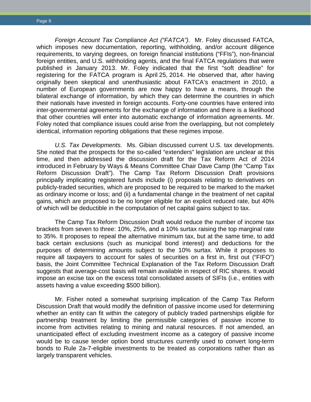*Foreign Account Tax Compliance Act ("FATCA")*. Mr. Foley discussed FATCA, which imposes new documentation, reporting, withholding, and/or account diligence requirements, to varying degrees, on foreign financial institutions ("FFIs"), non-financial foreign entities, and U.S. withholding agents, and the final FATCA regulations that were published in January 2013. Mr. Foley indicated that the first "soft deadline" for registering for the FATCA program is April 25, 2014. He observed that, after having originally been skeptical and unenthusiastic about FATCA's enactment in 2010, a number of European governments are now happy to have a means, through the bilateral exchange of information, by which they can determine the countries in which their nationals have invested in foreign accounts. Forty-one countries have entered into inter-governmental agreements for the exchange of information and there is a likelihood that other countries will enter into automatic exchange of information agreements. Mr. Foley noted that compliance issues could arise from the overlapping, but not completely identical, information reporting obligations that these regimes impose.

*U.S. Tax Developments.* Ms. Gibian discussed current U.S. tax developments. She noted that the prospects for the so-called "extenders" legislation are unclear at this time, and then addressed the discussion draft for the Tax Reform Act of 2014 introduced in February by Ways & Means Committee Chair Dave Camp (the "Camp Tax Reform Discussion Draft"). The Camp Tax Reform Discussion Draft provisions principally implicating registered funds include (i) proposals relating to derivatives on publicly-traded securities, which are proposed to be required to be marked to the market as ordinary income or loss; and (ii) a fundamental change in the treatment of net capital gains, which are proposed to be no longer eligible for an explicit reduced rate, but 40% of which will be deductible in the computation of net capital gains subject to tax.

The Camp Tax Reform Discussion Draft would reduce the number of income tax brackets from seven to three: 10%, 25%, and a 10% surtax raising the top marginal rate to 35%. It proposes to repeal the alternative minimum tax, but at the same time, to add back certain exclusions (such as municipal bond interest) and deductions for the purposes of determining amounts subject to the 10% surtax. While it proposes to require all taxpayers to account for sales of securities on a first in, first out ("FIFO") basis, the Joint Committee Technical Explanation of the Tax Reform Discussion Draft suggests that average-cost basis will remain available in respect of RIC shares. It would impose an excise tax on the excess total consolidated assets of SIFIs (i.e., entities with assets having a value exceeding \$500 billion).

Mr. Fisher noted a somewhat surprising implication of the Camp Tax Reform Discussion Draft that would modify the definition of passive income used for determining whether an entity can fit within the category of publicly traded partnerships eligible for partnership treatment by limiting the permissible categories of passive income to income from activities relating to mining and natural resources. If not amended, an unanticipated effect of excluding investment income as a category of passive income would be to cause tender option bond structures currently used to convert long-term bonds to Rule 2a-7-eligible investments to be treated as corporations rather than as largely transparent vehicles.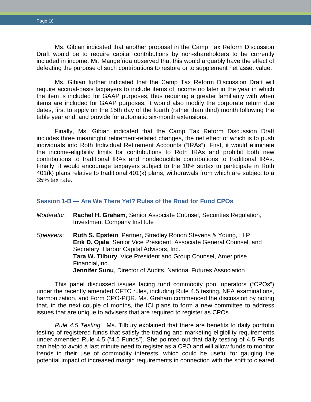Ms. Gibian indicated that another proposal in the Camp Tax Reform Discussion Draft would be to require capital contributions by non-shareholders to be currently included in income. Mr. Mangefrida observed that this would arguably have the effect of defeating the purpose of such contributions to restore or to supplement net asset value.

Ms. Gibian further indicated that the Camp Tax Reform Discussion Draft will require accrual-basis taxpayers to include items of income no later in the year in which the item is included for GAAP purposes, thus requiring a greater familiarity with when items are included for GAAP purposes. It would also modify the corporate return due dates, first to apply on the 15th day of the fourth (rather than third) month following the table year end, and provide for automatic six-month extensions.

Finally, Ms. Gibian indicated that the Camp Tax Reform Discussion Draft includes three meaningful retirement-related changes, the net effect of which is to push individuals into Roth Individual Retirement Accounts ("IRAs"). First, it would eliminate the income-eligibility limits for contributions to Roth IRAs and prohibit both new contributions to traditional IRAs and nondeductible contributions to traditional IRAs. Finally, it would encourage taxpayers subject to the 10% surtax to participate in Roth 401(k) plans relative to traditional 401(k) plans, withdrawals from which are subject to a 35% tax rate.

### <span id="page-12-0"></span>**Session 1-B — Are We There Yet? Rules of the Road for Fund CPOs**

- *Moderator*: **Rachel H. Graham**, Senior Associate Counsel, Securities Regulation, Investment Company Institute
- *Speakers*: **Ruth S. Epstein**, Partner, Stradley Ronon Stevens & Young, LLP **Erik D. Ojala**, Senior Vice President, Associate General Counsel, and Secretary, Harbor Capital Advisors, Inc. **Tara W. Tilbury**, Vice President and Group Counsel, Ameriprise Financial,Inc. **Jennifer Sunu**, Director of Audits, National Futures Association

This panel discussed issues facing fund commodity pool operators ("CPOs") under the recently amended CFTC rules, including Rule 4.5 testing, NFA examinations, harmonization, and Form CPO-PQR. Ms. Graham commenced the discussion by noting that, in the next couple of months, the ICI plans to form a new committee to address issues that are unique to advisers that are required to register as CPOs.

*Rule 4.5 Testing.* Ms. Tilbury explained that there are benefits to daily portfolio testing of registered funds that satisfy the trading and marketing eligibility requirements under amended Rule 4.5 ("4.5 Funds"). She pointed out that daily testing of 4.5 Funds can help to avoid a last minute need to register as a CPO and will allow funds to monitor trends in their use of commodity interests, which could be useful for gauging the potential impact of increased margin requirements in connection with the shift to cleared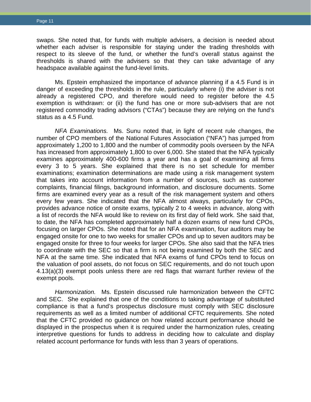swaps. She noted that, for funds with multiple advisers, a decision is needed about whether each adviser is responsible for staying under the trading thresholds with respect to its sleeve of the fund, or whether the fund's overall status against the thresholds is shared with the advisers so that they can take advantage of any headspace available against the fund-level limits.

Ms. Epstein emphasized the importance of advance planning if a 4.5 Fund is in danger of exceeding the thresholds in the rule, particularly where (i) the adviser is not already a registered CPO, and therefore would need to register before the 4.5 exemption is withdrawn: or (ii) the fund has one or more sub-advisers that are not registered commodity trading advisors ("CTAs") because they are relying on the fund's status as a 4.5 Fund.

*NFA Examinations.* Ms. Sunu noted that, in light of recent rule changes, the number of CPO members of the National Futures Association ("NFA") has jumped from approximately 1,200 to 1,800 and the number of commodity pools overseen by the NFA has increased from approximately 1,800 to over 6,000. She stated that the NFA typically examines approximately 400-600 firms a year and has a goal of examining all firms every 3 to 5 years. She explained that there is no set schedule for member examinations; examination determinations are made using a risk management system that takes into account information from a number of sources, such as customer complaints, financial filings, background information, and disclosure documents. Some firms are examined every year as a result of the risk management system and others every few years. She indicated that the NFA almost always, particularly for CPOs, provides advance notice of onsite exams, typically 2 to 4 weeks in advance, along with a list of records the NFA would like to review on its first day of field work. She said that, to date, the NFA has completed approximately half a dozen exams of new fund CPOs, focusing on larger CPOs. She noted that for an NFA examination, four auditors may be engaged onsite for one to two weeks for smaller CPOs and up to seven auditors may be engaged onsite for three to four weeks for larger CPOs. She also said that the NFA tries to coordinate with the SEC so that a firm is not being examined by both the SEC and NFA at the same time. She indicated that NFA exams of fund CPOs tend to focus on the valuation of pool assets, do not focus on SEC requirements, and do not touch upon 4.13(a)(3) exempt pools unless there are red flags that warrant further review of the exempt pools.

*Harmonization.* Ms. Epstein discussed rule harmonization between the CFTC and SEC. She explained that one of the conditions to taking advantage of substituted compliance is that a fund's prospectus disclosure must comply with SEC disclosure requirements as well as a limited number of additional CFTC requirements. She noted that the CFTC provided no guidance on how related account performance should be displayed in the prospectus when it is required under the harmonization rules, creating interpretive questions for funds to address in deciding how to calculate and display related account performance for funds with less than 3 years of operations.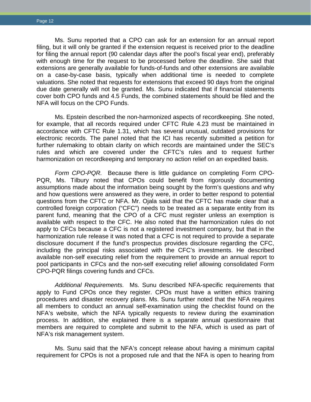Ms. Sunu reported that a CPO can ask for an extension for an annual report filing, but it will only be granted if the extension request is received prior to the deadline for filing the annual report (90 calendar days after the pool's fiscal year end), preferably with enough time for the request to be processed before the deadline. She said that extensions are generally available for funds-of-funds and other extensions are available on a case-by-case basis, typically when additional time is needed to complete valuations. She noted that requests for extensions that exceed 90 days from the original due date generally will not be granted. Ms. Sunu indicated that if financial statements cover both CPO funds and 4.5 Funds, the combined statements should be filed and the NFA will focus on the CPO Funds.

Ms. Epstein described the non-harmonized aspects of recordkeeping. She noted, for example, that all records required under CFTC Rule 4.23 must be maintained in accordance with CFTC Rule 1.31, which has several unusual, outdated provisions for electronic records. The panel noted that the ICI has recently submitted a petition for further rulemaking to obtain clarity on which records are maintained under the SEC's rules and which are covered under the CFTC's rules and to request further harmonization on recordkeeping and temporary no action relief on an expedited basis.

*Form CPO-PQR.* Because there is little guidance on completing Form CPO-PQR, Ms. Tilbury noted that CPOs could benefit from rigorously documenting assumptions made about the information being sought by the form's questions and why and how questions were answered as they were, in order to better respond to potential questions from the CFTC or NFA. Mr. Ojala said that the CFTC has made clear that a controlled foreign corporation ("CFC") needs to be treated as a separate entity from its parent fund, meaning that the CPO of a CFC must register unless an exemption is available with respect to the CFC. He also noted that the harmonization rules do not apply to CFCs because a CFC is not a registered investment company, but that in the harmonization rule release it was noted that a CFC is not required to provide a separate disclosure document if the fund's prospectus provides disclosure regarding the CFC, including the principal risks associated with the CFC's investments. He described available non-self executing relief from the requirement to provide an annual report to pool participants in CFCs and the non-self executing relief allowing consolidated Form CPO-PQR filings covering funds and CFCs.

*Additional Requirements.* Ms. Sunu described NFA-specific requirements that apply to Fund CPOs once they register. CPOs must have a written ethics training procedures and disaster recovery plans. Ms. Sunu further noted that the NFA requires all members to conduct an annual self-examination using the checklist found on the NFA's website, which the NFA typically requests to review during the examination process. In addition, she explained there is a separate annual questionnaire that members are required to complete and submit to the NFA, which is used as part of NFA's risk management system.

Ms. Sunu said that the NFA's concept release about having a minimum capital requirement for CPOs is not a proposed rule and that the NFA is open to hearing from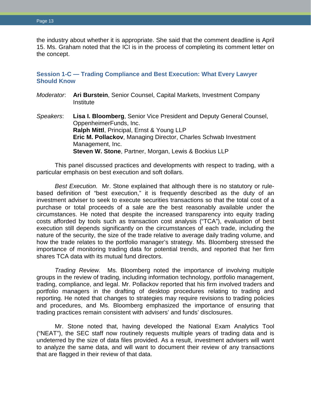the industry about whether it is appropriate. She said that the comment deadline is April 15. Ms. Graham noted that the ICI is in the process of completing its comment letter on the concept.

# <span id="page-15-0"></span>**Session 1-C — Trading Compliance and Best Execution: What Every Lawyer Should Know**

| Moderator. | Ari Burstein, Senior Counsel, Capital Markets, Investment Company<br>Institute                                                                                                                                                     |
|------------|------------------------------------------------------------------------------------------------------------------------------------------------------------------------------------------------------------------------------------|
| Speakers:  | Lisa I. Bloomberg, Senior Vice President and Deputy General Counsel,<br>OppenheimerFunds, Inc.<br>Ralph Mittl, Principal, Ernst & Young LLP<br>Eric M. Pollackov, Managing Director, Charles Schwab Investment<br>Management, Inc. |

**Steven W. Stone**, Partner, Morgan, Lewis & Bockius LLP

This panel discussed practices and developments with respect to trading, with a particular emphasis on best execution and soft dollars.

*Best Execution.* Mr. Stone explained that although there is no statutory or rulebased definition of "best execution," it is frequently described as the duty of an investment adviser to seek to execute securities transactions so that the total cost of a purchase or total proceeds of a sale are the best reasonably available under the circumstances. He noted that despite the increased transparency into equity trading costs afforded by tools such as transaction cost analysis ("TCA"), evaluation of best execution still depends significantly on the circumstances of each trade, including the nature of the security, the size of the trade relative to average daily trading volume, and how the trade relates to the portfolio manager's strategy. Ms. Bloomberg stressed the importance of monitoring trading data for potential trends, and reported that her firm shares TCA data with its mutual fund directors.

*Trading Review.* Ms. Bloomberg noted the importance of involving multiple groups in the review of trading, including information technology, portfolio management, trading, compliance, and legal. Mr. Pollackov reported that his firm involved traders and portfolio managers in the drafting of desktop procedures relating to trading and reporting. He noted that changes to strategies may require revisions to trading policies and procedures, and Ms. Bloomberg emphasized the importance of ensuring that trading practices remain consistent with advisers' and funds' disclosures.

Mr. Stone noted that, having developed the National Exam Analytics Tool ("NEAT"), the SEC staff now routinely requests multiple years of trading data and is undeterred by the size of data files provided. As a result, investment advisers will want to analyze the same data, and will want to document their review of any transactions that are flagged in their review of that data.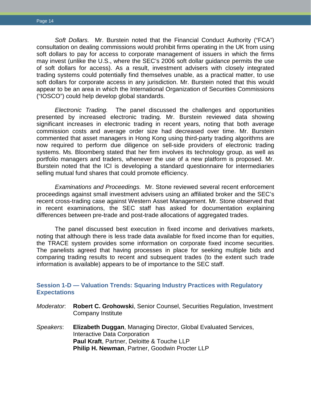*Soft Dollars.* Mr. Burstein noted that the Financial Conduct Authority ("FCA") consultation on dealing commissions would prohibit firms operating in the UK from using soft dollars to pay for access to corporate management of issuers in which the firms may invest (unlike the U.S., where the SEC's 2006 soft dollar guidance permits the use of soft dollars for access). As a result, investment advisers with closely integrated trading systems could potentially find themselves unable, as a practical matter, to use soft dollars for corporate access in any jurisdiction. Mr. Burstein noted that this would appear to be an area in which the International Organization of Securities Commissions ("IOSCO") could help develop global standards.

*Electronic Trading.* The panel discussed the challenges and opportunities presented by increased electronic trading. Mr. Burstein reviewed data showing significant increases in electronic trading in recent years, noting that both average commission costs and average order size had decreased over time. Mr. Burstein commented that asset managers in Hong Kong using third-party trading algorithms are now required to perform due diligence on sell-side providers of electronic trading systems. Ms. Bloomberg stated that her firm involves its technology group, as well as portfolio managers and traders, whenever the use of a new platform is proposed. Mr. Burstein noted that the ICI is developing a standard questionnaire for intermediaries selling mutual fund shares that could promote efficiency.

*Examinations and Proceedings.* Mr. Stone reviewed several recent enforcement proceedings against small investment advisers using an affiliated broker and the SEC's recent cross-trading case against Western Asset Management. Mr. Stone observed that in recent examinations, the SEC staff has asked for documentation explaining differences between pre-trade and post-trade allocations of aggregated trades.

The panel discussed best execution in fixed income and derivatives markets, noting that although there is less trade data available for fixed income than for equities, the TRACE system provides some information on corporate fixed income securities. The panelists agreed that having processes in place for seeking multiple bids and comparing trading results to recent and subsequent trades (to the extent such trade information is available) appears to be of importance to the SEC staff.

# <span id="page-16-0"></span>**Session 1-D — Valuation Trends: Squaring Industry Practices with Regulatory Expectations**

- *Moderator*: **Robert C. Grohowski**, Senior Counsel, Securities Regulation, Investment Company Institute
- *Speakers*: **Elizabeth Duggan**, Managing Director, Global Evaluated Services, Interactive Data Corporation **Paul Kraft**, Partner, Deloitte & Touche LLP **Philip H. Newman**, Partner, Goodwin Procter LLP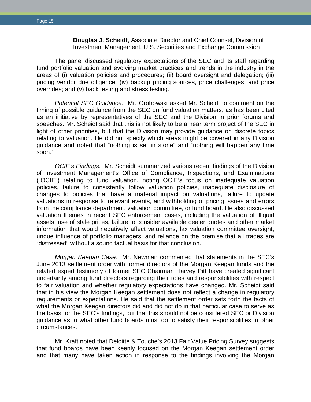**Douglas J. Scheidt**, Associate Director and Chief Counsel, Division of Investment Management, U.S. Securities and Exchange Commission

The panel discussed regulatory expectations of the SEC and its staff regarding fund portfolio valuation and evolving market practices and trends in the industry in the areas of (i) valuation policies and procedures; (ii) board oversight and delegation; (iii) pricing vendor due diligence; (iv) backup pricing sources, price challenges, and price overrides; and (v) back testing and stress testing.

*Potential SEC Guidance.* Mr. Grohowski asked Mr. Scheidt to comment on the timing of possible guidance from the SEC on fund valuation matters, as has been cited as an initiative by representatives of the SEC and the Division in prior forums and speeches. Mr. Scheidt said that this is not likely to be a near term project of the SEC in light of other priorities, but that the Division may provide guidance on discrete topics relating to valuation. He did not specify which areas might be covered in any Division guidance and noted that "nothing is set in stone" and "nothing will happen any time soon."

*OCIE's Findings.* Mr. Scheidt summarized various recent findings of the Division of Investment Management's Office of Compliance, Inspections, and Examinations ("OCIE") relating to fund valuation, noting OCIE's focus on inadequate valuation policies, failure to consistently follow valuation policies, inadequate disclosure of changes to policies that have a material impact on valuations, failure to update valuations in response to relevant events, and withholding of pricing issues and errors from the compliance department, valuation committee, or fund board. He also discussed valuation themes in recent SEC enforcement cases, including the valuation of illiquid assets, use of stale prices, failure to consider available dealer quotes and other market information that would negatively affect valuations, lax valuation committee oversight, undue influence of portfolio managers, and reliance on the premise that all trades are "distressed" without a sound factual basis for that conclusion.

*Morgan Keegan Case.* Mr. Newman commented that statements in the SEC's June 2013 settlement order with former directors of the Morgan Keegan funds and the related expert testimony of former SEC Chairman Harvey Pitt have created significant uncertainty among fund directors regarding their roles and responsibilities with respect to fair valuation and whether regulatory expectations have changed. Mr. Scheidt said that in his view the Morgan Keegan settlement does not reflect a change in regulatory requirements or expectations. He said that the settlement order sets forth the facts of what the Morgan Keegan directors did and did not do in that particular case to serve as the basis for the SEC's findings, but that this should not be considered SEC or Division guidance as to what other fund boards must do to satisfy their responsibilities in other circumstances.

Mr. Kraft noted that Deloitte & Touche's 2013 Fair Value Pricing Survey suggests that fund boards have been keenly focused on the Morgan Keegan settlement order and that many have taken action in response to the findings involving the Morgan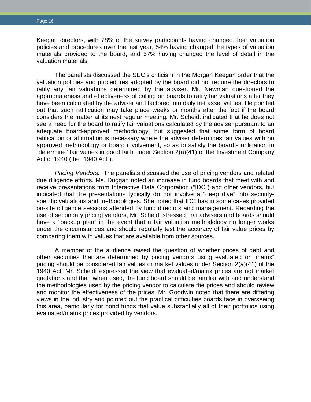Keegan directors, with 78% of the survey participants having changed their valuation policies and procedures over the last year, 54% having changed the types of valuation materials provided to the board, and 57% having changed the level of detail in the valuation materials.

The panelists discussed the SEC's criticism in the Morgan Keegan order that the valuation policies and procedures adopted by the board did not require the directors to ratify any fair valuations determined by the adviser. Mr. Newman questioned the appropriateness and effectiveness of calling on boards to ratify fair valuations after they have been calculated by the adviser and factored into daily net asset values. He pointed out that such ratification may take place weeks or months after the fact if the board considers the matter at its next regular meeting. Mr. Scheidt indicated that he does not see a need for the board to ratify fair valuations calculated by the adviser pursuant to an adequate board-approved methodology, but suggested that some form of board ratification or affirmation is necessary where the adviser determines fair values with no approved methodology or board involvement, so as to satisfy the board's obligation to "determine" fair values in good faith under Section 2(a)(41) of the Investment Company Act of 1940 (the "1940 Act").

*Pricing Vendors.* The panelists discussed the use of pricing vendors and related due diligence efforts. Ms. Duggan noted an increase in fund boards that meet with and receive presentations from Interactive Data Corporation ("IDC") and other vendors, but indicated that the presentations typically do not involve a "deep dive" into securityspecific valuations and methodologies. She noted that IDC has in some cases provided on-site diligence sessions attended by fund directors and management. Regarding the use of secondary pricing vendors, Mr. Scheidt stressed that advisers and boards should have a "backup plan" in the event that a fair valuation methodology no longer works under the circumstances and should regularly test the accuracy of fair value prices by comparing them with values that are available from other sources.

<span id="page-18-0"></span>A member of the audience raised the question of whether prices of debt and other securities that are determined by pricing vendors using evaluated or "matrix" pricing should be considered fair values or market values under Section 2(a)(41) of the 1940 Act. Mr. Scheidt expressed the view that evaluated/matrix prices are not market quotations and that, when used, the fund board should be familiar with and understand the methodologies used by the pricing vendor to calculate the prices and should review and monitor the effectiveness of the prices. Mr. Goodwin noted that there are differing views in the industry and pointed out the practical difficulties boards face in overseeing this area, particularly for bond funds that value substantially all of their portfolios using evaluated/matrix prices provided by vendors.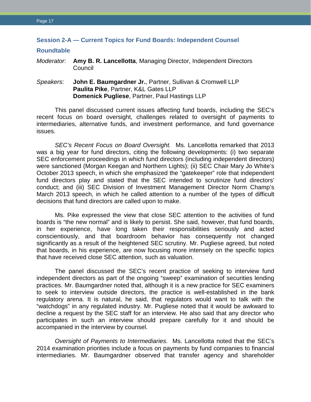# **Session 2-A — Current Topics for Fund Boards: Independent Counsel Roundtable** *Moderator*: **Amy B. R. Lancellotta**, Managing Director, Independent Directors Council *Speakers*: **John E. Baumgardner Jr.**, Partner, Sullivan & Cromwell LLP **Paulita Pike**, Partner, K&L Gates LLP **Domenick Pugliese**, Partner, Paul Hastings LLP

This panel discussed current issues affecting fund boards, including the SEC's recent focus on board oversight, challenges related to oversight of payments to intermediaries, alternative funds, and investment performance, and fund governance issues.

*SEC's Recent Focus on Board Oversight.* Ms. Lancellotta remarked that 2013 was a big year for fund directors, citing the following developments: (i) two separate SEC enforcement proceedings in which fund directors (including independent directors) were sanctioned (Morgan Keegan and Northern Lights); (ii) SEC Chair Mary Jo White's October 2013 speech, in which she emphasized the "gatekeeper" role that independent fund directors play and stated that the SEC intended to scrutinize fund directors' conduct; and (iii) SEC Division of Investment Management Director Norm Champ's March 2013 speech, in which he called attention to a number of the types of difficult decisions that fund directors are called upon to make.

Ms. Pike expressed the view that close SEC attention to the activities of fund boards is "the new normal" and is likely to persist. She said, however, that fund boards, in her experience, have long taken their responsibilities seriously and acted conscientiously, and that boardroom behavior has consequently not changed significantly as a result of the heightened SEC scrutiny. Mr. Pugliese agreed, but noted that boards, in his experience, are now focusing more intensely on the specific topics that have received close SEC attention, such as valuation.

The panel discussed the SEC's recent practice of seeking to interview fund independent directors as part of the ongoing "sweep" examination of securities lending practices. Mr. Baumgardner noted that, although it is a new practice for SEC examiners to seek to interview outside directors, the practice is well-established in the bank regulatory arena. It is natural, he said, that regulators would want to talk with the "watchdogs" in any regulated industry. Mr. Pugliese noted that it would be awkward to decline a request by the SEC staff for an interview. He also said that any director who participates in such an interview should prepare carefully for it and should be accompanied in the interview by counsel.

*Oversight of Payments to Intermediaries.* Ms. Lancellotta noted that the SEC's 2014 examination priorities include a focus on payments by fund companies to financial intermediaries. Mr. Baumgardner observed that transfer agency and shareholder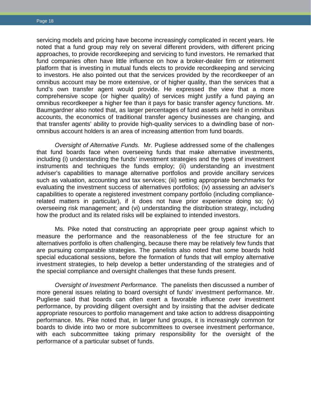servicing models and pricing have become increasingly complicated in recent years. He noted that a fund group may rely on several different providers, with different pricing approaches, to provide recordkeeping and servicing to fund investors. He remarked that fund companies often have little influence on how a broker-dealer firm or retirement platform that is investing in mutual funds elects to provide recordkeeping and servicing to investors. He also pointed out that the services provided by the recordkeeper of an omnibus account may be more extensive, or of higher quality, than the services that a fund's own transfer agent would provide. He expressed the view that a more comprehensive scope (or higher quality) of services might justify a fund paying an omnibus recordkeeper a higher fee than it pays for basic transfer agency functions. Mr. Baumgardner also noted that, as larger percentages of fund assets are held in omnibus accounts, the economics of traditional transfer agency businesses are changing, and that transfer agents' ability to provide high-quality services to a dwindling base of nonomnibus account holders is an area of increasing attention from fund boards.

*Oversight of Alternative Funds.* Mr. Pugliese addressed some of the challenges that fund boards face when overseeing funds that make alternative investments, including (i) understanding the funds' investment strategies and the types of investment instruments and techniques the funds employ; (ii) understanding an investment adviser's capabilities to manage alternative portfolios and provide ancillary services such as valuation, accounting and tax services; (iii) setting appropriate benchmarks for evaluating the investment success of alternatives portfolios; (iv) assessing an adviser's capabilities to operate a registered investment company portfolio (including compliancerelated matters in particular), if it does not have prior experience doing so; (v) overseeing risk management; and (vi) understanding the distribution strategy, including how the product and its related risks will be explained to intended investors.

Ms. Pike noted that constructing an appropriate peer group against which to measure the performance and the reasonableness of the fee structure for an alternatives portfolio is often challenging, because there may be relatively few funds that are pursuing comparable strategies. The panelists also noted that some boards hold special educational sessions, before the formation of funds that will employ alternative investment strategies, to help develop a better understanding of the strategies and of the special compliance and oversight challenges that these funds present.

*Oversight of Investment Performance.* The panelists then discussed a number of more general issues relating to board oversight of funds' investment performance. Mr. Pugliese said that boards can often exert a favorable influence over investment performance, by providing diligent oversight and by insisting that the adviser dedicate appropriate resources to portfolio management and take action to address disappointing performance. Ms. Pike noted that, in larger fund groups, it is increasingly common for boards to divide into two or more subcommittees to oversee investment performance, with each subcommittee taking primary responsibility for the oversight of the performance of a particular subset of funds.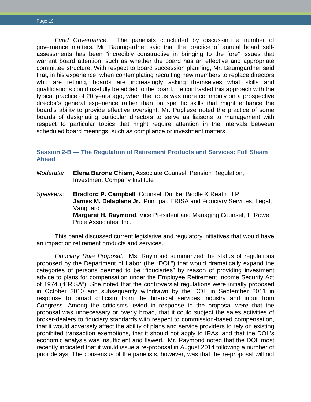*Fund Governance.* The panelists concluded by discussing a number of governance matters. Mr. Baumgardner said that the practice of annual board selfassessments has been "incredibly constructive in bringing to the fore" issues that warrant board attention, such as whether the board has an effective and appropriate committee structure. With respect to board succession planning, Mr. Baumgardner said that, in his experience, when contemplating recruiting new members to replace directors who are retiring, boards are increasingly asking themselves what skills and qualifications could usefully be added to the board. He contrasted this approach with the typical practice of 20 years ago, when the focus was more commonly on a prospective director's general experience rather than on specific skills that might enhance the board's ability to provide effective oversight. Mr. Pugliese noted the practice of some boards of designating particular directors to serve as liaisons to management with respect to particular topics that might require attention in the intervals between scheduled board meetings, such as compliance or investment matters.

# <span id="page-21-0"></span>**Session 2-B — The Regulation of Retirement Products and Services: Full Steam Ahead**

- *Moderator*: **Elena Barone Chism**, Associate Counsel, Pension Regulation, Investment Company Institute
- *Speakers*: **Bradford P. Campbell**, Counsel, Drinker Biddle & Reath LLP **James M. Delaplane Jr.**, Principal, ERISA and Fiduciary Services, Legal, Vanguard **Margaret H. Raymond**, Vice President and Managing Counsel, T. Rowe Price Associates, Inc.

This panel discussed current legislative and regulatory initiatives that would have an impact on retirement products and services.

*Fiduciary Rule Proposal.* Ms. Raymond summarized the status of regulations proposed by the Department of Labor (the "DOL") that would dramatically expand the categories of persons deemed to be "fiduciaries" by reason of providing investment advice to plans for compensation under the Employee Retirement Income Security Act of 1974 ("ERISA"). She noted that the controversial regulations were initially proposed in October 2010 and subsequently withdrawn by the DOL in September 2011 in response to broad criticism from the financial services industry and input from Congress. Among the criticisms levied in response to the proposal were that the proposal was unnecessary or overly broad, that it could subject the sales activities of broker-dealers to fiduciary standards with respect to commission-based compensation, that it would adversely affect the ability of plans and service providers to rely on existing prohibited transaction exemptions, that it should not apply to IRAs, and that the DOL's economic analysis was insufficient and flawed. Mr. Raymond noted that the DOL most recently indicated that it would issue a re-proposal in August 2014 following a number of prior delays. The consensus of the panelists, however, was that the re-proposal will not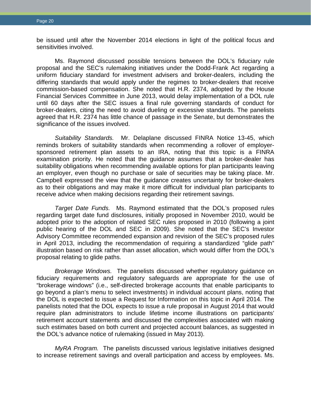be issued until after the November 2014 elections in light of the political focus and sensitivities involved.

Ms. Raymond discussed possible tensions between the DOL's fiduciary rule proposal and the SEC's rulemaking initiatives under the Dodd-Frank Act regarding a uniform fiduciary standard for investment advisers and broker-dealers, including the differing standards that would apply under the regimes to broker-dealers that receive commission-based compensation. She noted that H.R. 2374, adopted by the House Financial Services Committee in June 2013, would delay implementation of a DOL rule until 60 days after the SEC issues a final rule governing standards of conduct for broker-dealers, citing the need to avoid dueling or excessive standards. The panelists agreed that H.R. 2374 has little chance of passage in the Senate, but demonstrates the significance of the issues involved.

*Suitability Standards.* Mr. Delaplane discussed FINRA Notice 13-45, which reminds brokers of suitability standards when recommending a rollover of employersponsored retirement plan assets to an IRA, noting that this topic is a FINRA examination priority. He noted that the guidance assumes that a broker-dealer has suitability obligations when recommending available options for plan participants leaving an employer, even though no purchase or sale of securities may be taking place. Mr. Campbell expressed the view that the guidance creates uncertainty for broker-dealers as to their obligations and may make it more difficult for individual plan participants to receive advice when making decisions regarding their retirement savings.

*Target Date Funds.* Ms. Raymond estimated that the DOL's proposed rules regarding target date fund disclosures, initially proposed in November 2010, would be adopted prior to the adoption of related SEC rules proposed in 2010 (following a joint public hearing of the DOL and SEC in 2009). She noted that the SEC's Investor Advisory Committee recommended expansion and revision of the SEC's proposed rules in April 2013, including the recommendation of requiring a standardized "glide path" illustration based on risk rather than asset allocation, which would differ from the DOL's proposal relating to glide paths.

*Brokerage Windows.* The panelists discussed whether regulatory guidance on fiduciary requirements and regulatory safeguards are appropriate for the use of "brokerage windows" (i.e., self-directed brokerage accounts that enable participants to go beyond a plan's menu to select investments) in individual account plans, noting that the DOL is expected to issue a Request for Information on this topic in April 2014. The panelists noted that the DOL expects to issue a rule proposal in August 2014 that would require plan administrators to include lifetime income illustrations on participants' retirement account statements and discussed the complexities associated with making such estimates based on both current and projected account balances, as suggested in the DOL's advance notice of rulemaking (issued in May 2013).

*MyRA Program.* The panelists discussed various legislative initiatives designed to increase retirement savings and overall participation and access by employees. Ms.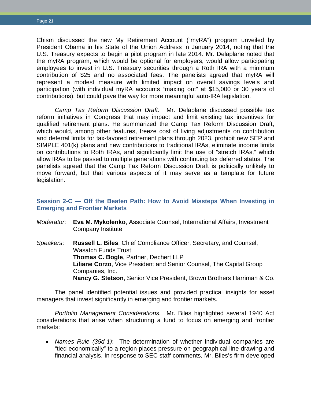Chism discussed the new My Retirement Account ("myRA") program unveiled by President Obama in his State of the Union Address in January 2014, noting that the U.S. Treasury expects to begin a pilot program in late 2014. Mr. Delaplane noted that the myRA program, which would be optional for employers, would allow participating employees to invest in U.S. Treasury securities through a Roth IRA with a minimum contribution of \$25 and no associated fees. The panelists agreed that myRA will represent a modest measure with limited impact on overall savings levels and participation (with individual myRA accounts "maxing out" at \$15,000 or 30 years of contributions), but could pave the way for more meaningful auto-IRA legislation.

*Camp Tax Reform Discussion Draft.* Mr. Delaplane discussed possible tax reform initiatives in Congress that may impact and limit existing tax incentives for qualified retirement plans. He summarized the Camp Tax Reform Discussion Draft, which would, among other features, freeze cost of living adjustments on contribution and deferral limits for tax-favored retirement plans through 2023, prohibit new SEP and SIMPLE 401(k) plans and new contributions to traditional IRAs, eliminate income limits on contributions to Roth IRAs, and significantly limit the use of "stretch IRAs," which allow IRAs to be passed to multiple generations with continuing tax deferred status. The panelists agreed that the Camp Tax Reform Discussion Draft is politically unlikely to move forward, but that various aspects of it may serve as a template for future legislation.

## <span id="page-23-0"></span>**Session 2-C — Off the Beaten Path: How to Avoid Missteps When Investing in Emerging and Frontier Markets**

- *Moderator*: **Eva M. Mykolenko**, Associate Counsel, International Affairs, Investment Company Institute
- *Speakers*: **Russell L. Biles**, Chief Compliance Officer, Secretary, and Counsel, Wasatch Funds Trust **Thomas C. Bogle**, Partner, Dechert LLP **Liliane Corzo**, Vice President and Senior Counsel, The Capital Group Companies, Inc. **Nancy G. Stetson**, Senior Vice President, Brown Brothers Harriman & Co.

The panel identified potential issues and provided practical insights for asset managers that invest significantly in emerging and frontier markets.

*Portfolio Management Considerations*. Mr. Biles highlighted several 1940 Act considerations that arise when structuring a fund to focus on emerging and frontier markets:

• *Names Rule (35d-1)*: The determination of whether individual companies are "tied economically" to a region places pressure on geographical line-drawing and financial analysis. In response to SEC staff comments, Mr. Biles's firm developed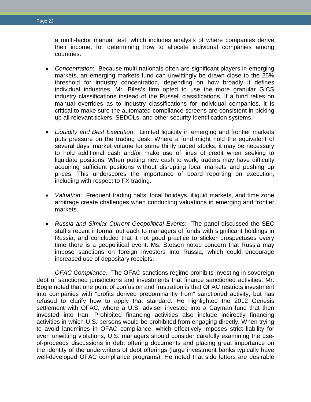a multi-factor manual test, which includes analysis of where companies derive their income, for determining how to allocate individual companies among countries.

- *Concentration*: Because multi-nationals often are significant players in emerging markets, an emerging markets fund can unwittingly be drawn close to the 25% threshold for industry concentration, depending on how broadly it defines individual industries. Mr. Biles's firm opted to use the more granular GICS industry classifications instead of the Russell classifications. If a fund relies on manual overrides as to industry classifications for individual companies, it is critical to make sure the automated compliance screens are consistent in picking up all relevant tickers, SEDOLs, and other security-identification systems.
- *Liquidity and Best Execution*: Limited liquidity in emerging and frontier markets puts pressure on the trading desk. Where a fund might hold the equivalent of several days' market volume for some thinly traded stocks, it may be necessary to hold additional cash and/or make use of lines of credit when seeking to liquidate positions. When putting new cash to work, traders may have difficulty acquiring sufficient positions without disrupting local markets and pushing up prices. This underscores the importance of board reporting on execution, including with respect to FX trading.
- *Valuation*: Frequent trading halts, local holidays, illiquid markets, and time zone arbitrage create challenges when conducting valuations in emerging and frontier markets.
- *Russia and Similar Current Geopolitical Events*: The panel discussed the SEC staff's recent informal outreach to managers of funds with significant holdings in Russia, and concluded that it not good practice to sticker prospectuses every time there is a geopolitical event. Ms. Stetson noted concern that Russia may impose sanctions on foreign investors into Russia, which could encourage increased use of depositary receipts.

*OFAC Compliance.* The OFAC sanctions regime prohibits investing in sovereign debt of sanctioned jurisdictions and investments that finance sanctioned activities. Mr. Bogle noted that one point of confusion and frustration is that OFAC restricts investment into companies with "profits derived predominantly from" sanctioned activity, but has refused to clarify how to apply that standard. He highlighted the 2012 Genesis settlement with OFAC, where a U.S. adviser invested into a Cayman fund that then invested into Iran. Prohibited financing activities also include indirectly financing activities in which U.S. persons would be prohibited from engaging directly. When trying to avoid landmines in OFAC compliance, which effectively imposes strict liability for even unwitting violations, U.S. managers should consider carefully examining the useof-proceeds discussions in debt offering documents and placing great importance on the identity of the underwriters of debt offerings (large investment banks typically have well-developed OFAC compliance programs). He noted that side letters are desirable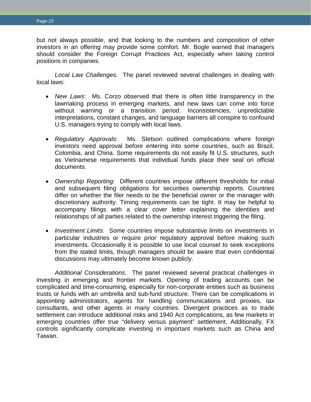but not always possible, and that looking to the numbers and composition of other investors in an offering may provide some comfort. Mr. Bogle warned that managers should consider the Foreign Corrupt Practices Act, especially when taking control positions in companies.

*Local Law Challenges.* The panel reviewed several challenges in dealing with local laws:

- *New Laws*: Ms. Corzo observed that there is often little transparency in the lawmaking process in emerging markets, and new laws can come into force without warning or a transition period. Inconsistencies, unpredictable interpretations, constant changes, and language barriers all conspire to confound U.S. managers trying to comply with local laws.
- *Regulatory Approvals*: Ms. Stetson outlined complications where foreign investors need approval before entering into some countries, such as Brazil, Colombia, and China. Some requirements do not easily fit U.S. structures, such as Vietnamese requirements that individual funds place their seal on official documents.
- *Ownership Reporting*: Different countries impose different thresholds for initial and subsequent filing obligations for securities ownership reports. Countries differ on whether the filer needs to be the beneficial owner or the manager with discretionary authority. Timing requirements can be tight. It may be helpful to accompany filings with a clear cover letter explaining the identities and relationships of all parties related to the ownership interest triggering the filing.
- *Investment Limits*: Some countries impose substantive limits on investments in particular industries or require prior regulatory approval before making such investments. Occasionally it is possible to use local counsel to seek exceptions from the stated limits, though managers should be aware that even confidential discussions may ultimately become known publicly.

*Additional Considerations.* The panel reviewed several practical challenges in investing in emerging and frontier markets. Opening of trading accounts can be complicated and time-consuming, especially for non-corporate entities such as business trusts or funds with an umbrella and sub-fund structure. There can be complications in appointing administrators, agents for handling communications and proxies, tax consultants, and other agents in many countries. Divergent practices as to trade settlement can introduce additional risks and 1940 Act complications, as few markets in emerging countries offer true "delivery versus payment" settlement. Additionally, FX controls significantly complicate investing in important markets such as China and Taiwan.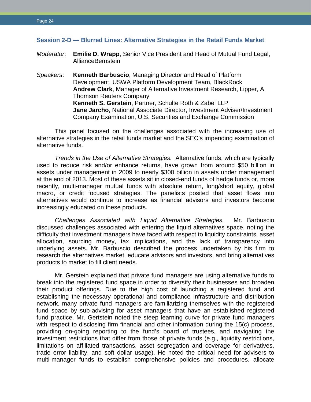## <span id="page-26-0"></span>**Session 2-D — Blurred Lines: Alternative Strategies in the Retail Funds Market**

- *Moderator*: **Emilie D. Wrapp**, Senior Vice President and Head of Mutual Fund Legal, AllianceBernstein
- *Speakers*: **Kenneth Barbuscio**, Managing Director and Head of Platform Development, USWA Platform Development Team, BlackRock **Andrew Clark**, Manager of Alternative Investment Research, Lipper, A Thomson Reuters Company **Kenneth S. Gerstein**, Partner, Schulte Roth & Zabel LLP **Jane Jarcho**, National Associate Director, Investment Adviser/Investment Company Examination, U.S. Securities and Exchange Commission

This panel focused on the challenges associated with the increasing use of alternative strategies in the retail funds market and the SEC's impending examination of alternative funds.

*Trends in the Use of Alternative Strategies.* Alternative funds, which are typically used to reduce risk and/or enhance returns, have grown from around \$50 billion in assets under management in 2009 to nearly \$300 billion in assets under management at the end of 2013. Most of these assets sit in closed-end funds of hedge funds or, more recently, multi-manager mutual funds with absolute return, long/short equity, global macro, or credit focused strategies. The panelists posited that asset flows into alternatives would continue to increase as financial advisors and investors become increasingly educated on these products.

*Challenges Associated with Liquid Alternative Strategies.* Mr. Barbuscio discussed challenges associated with entering the liquid alternatives space, noting the difficulty that investment managers have faced with respect to liquidity constraints, asset allocation, sourcing money, tax implications, and the lack of transparency into underlying assets. Mr. Barbuscio described the process undertaken by his firm to research the alternatives market, educate advisors and investors, and bring alternatives products to market to fill client needs.

Mr. Gerstein explained that private fund managers are using alternative funds to break into the registered fund space in order to diversify their businesses and broaden their product offerings. Due to the high cost of launching a registered fund and establishing the necessary operational and compliance infrastructure and distribution network, many private fund managers are familiarizing themselves with the registered fund space by sub-advising for asset managers that have an established registered fund practice. Mr. Gertstein noted the steep learning curve for private fund managers with respect to disclosing firm financial and other information during the 15(c) process, providing on-going reporting to the fund's board of trustees, and navigating the investment restrictions that differ from those of private funds (e.g., liquidity restrictions, limitations on affiliated transactions, asset segregation and coverage for derivatives, trade error liability, and soft dollar usage). He noted the critical need for advisers to multi-manager funds to establish comprehensive policies and procedures, allocate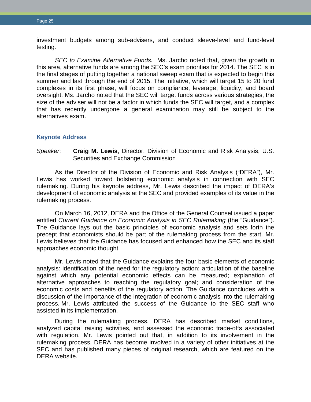investment budgets among sub-advisers, and conduct sleeve-level and fund-level testing.

*SEC to Examine Alternative Funds.* Ms. Jarcho noted that, given the growth in this area, alternative funds are among the SEC's exam priorities for 2014. The SEC is in the final stages of putting together a national sweep exam that is expected to begin this summer and last through the end of 2015. The initiative, which will target 15 to 20 fund complexes in its first phase, will focus on compliance, leverage, liquidity, and board oversight. Ms. Jarcho noted that the SEC will target funds across various strategies, the size of the adviser will not be a factor in which funds the SEC will target, and a complex that has recently undergone a general examination may still be subject to the alternatives exam.

## <span id="page-27-0"></span>**Keynote Address**

*Speaker*: **Craig M. Lewis**, Director, Division of Economic and Risk Analysis, U.S. Securities and Exchange Commission

As the Director of the Division of Economic and Risk Analysis ("DERA"), Mr. Lewis has worked toward bolstering economic analysis in connection with SEC rulemaking. During his keynote address, Mr. Lewis described the impact of DERA's development of economic analysis at the SEC and provided examples of its value in the rulemaking process.

On March 16, 2012, DERA and the Office of the General Counsel issued a paper entitled *Current Guidance on Economic Analysis in SEC Rulemaking* (the "Guidance"). The Guidance lays out the basic principles of economic analysis and sets forth the precept that economists should be part of the rulemaking process from the start. Mr. Lewis believes that the Guidance has focused and enhanced how the SEC and its staff approaches economic thought.

Mr. Lewis noted that the Guidance explains the four basic elements of economic analysis: identification of the need for the regulatory action; articulation of the baseline against which any potential economic effects can be measured; explanation of alternative approaches to reaching the regulatory goal; and consideration of the economic costs and benefits of the regulatory action. The Guidance concludes with a discussion of the importance of the integration of economic analysis into the rulemaking process. Mr. Lewis attributed the success of the Guidance to the SEC staff who assisted in its implementation.

During the rulemaking process, DERA has described market conditions, analyzed capital raising activities, and assessed the economic trade-offs associated with regulation. Mr. Lewis pointed out that, in addition to its involvement in the rulemaking process, DERA has become involved in a variety of other initiatives at the SEC and has published many pieces of original research, which are featured on the DERA website.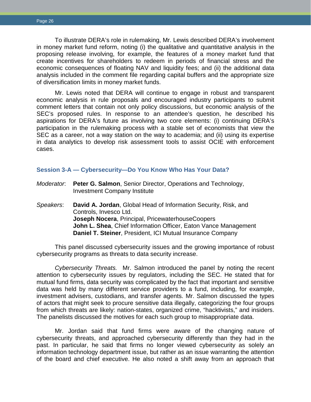To illustrate DERA's role in rulemaking, Mr. Lewis described DERA's involvement in money market fund reform, noting (i) the qualitative and quantitative analysis in the proposing release involving, for example, the features of a money market fund that create incentives for shareholders to redeem in periods of financial stress and the economic consequences of floating NAV and liquidity fees; and (ii) the additional data analysis included in the comment file regarding capital buffers and the appropriate size of diversification limits in money market funds.

Mr. Lewis noted that DERA will continue to engage in robust and transparent economic analysis in rule proposals and encouraged industry participants to submit comment letters that contain not only policy discussions, but economic analysis of the SEC's proposed rules. In response to an attendee's question, he described his aspirations for DERA's future as involving two core elements: (i) continuing DERA's participation in the rulemaking process with a stable set of economists that view the SEC as a career, not a way station on the way to academia; and (ii) using its expertise in data analytics to develop risk assessment tools to assist OCIE with enforcement cases.

#### <span id="page-28-0"></span>**Session 3-A — Cybersecurity—Do You Know Who Has Your Data?**

| Moderator. Peter G. Salmon, Senior Director, Operations and Technology, |
|-------------------------------------------------------------------------|
| Investment Company Institute                                            |

*Speakers*: **David A. Jordan**, Global Head of Information Security, Risk, and Controls, Invesco Ltd. **Joseph Nocera**, Principal, PricewaterhouseCoopers **John L. Shea**, Chief Information Officer, Eaton Vance Management **Daniel T. Steiner**, President, ICI Mutual Insurance Company

This panel discussed cybersecurity issues and the growing importance of robust cybersecurity programs as threats to data security increase.

*Cybersecurity Threats.* Mr. Salmon introduced the panel by noting the recent attention to cybersecurity issues by regulators, including the SEC. He stated that for mutual fund firms, data security was complicated by the fact that important and sensitive data was held by many different service providers to a fund, including, for example, investment advisers, custodians, and transfer agents. Mr. Salmon discussed the types of actors that might seek to procure sensitive data illegally, categorizing the four groups from which threats are likely: nation-states, organized crime, "hacktivists," and insiders. The panelists discussed the motives for each such group to misappropriate data.

Mr. Jordan said that fund firms were aware of the changing nature of cybersecurity threats, and approached cybersecurity differently than they had in the past. In particular, he said that firms no longer viewed cybersecurity as solely an information technology department issue, but rather as an issue warranting the attention of the board and chief executive. He also noted a shift away from an approach that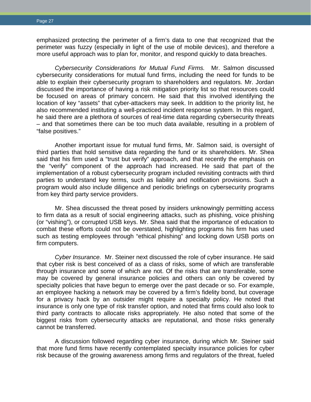emphasized protecting the perimeter of a firm's data to one that recognized that the perimeter was fuzzy (especially in light of the use of mobile devices), and therefore a more useful approach was to plan for, monitor, and respond quickly to data breaches.

*Cybersecurity Considerations for Mutual Fund Firms.* Mr. Salmon discussed cybersecurity considerations for mutual fund firms, including the need for funds to be able to explain their cybersecurity program to shareholders and regulators. Mr. Jordan discussed the importance of having a risk mitigation priority list so that resources could be focused on areas of primary concern. He said that this involved identifying the location of key "assets" that cyber-attackers may seek. In addition to the priority list, he also recommended instituting a well-practiced incident response system. In this regard, he said there are a plethora of sources of real-time data regarding cybersecurity threats – and that sometimes there can be too much data available, resulting in a problem of "false positives."

Another important issue for mutual fund firms, Mr. Salmon said, is oversight of third parties that hold sensitive data regarding the fund or its shareholders. Mr. Shea said that his firm used a "trust but verify" approach, and that recently the emphasis on the "verify" component of the approach had increased. He said that part of the implementation of a robust cybersecurity program included revisiting contracts with third parties to understand key terms, such as liability and notification provisions. Such a program would also include diligence and periodic briefings on cybersecurity programs from key third party service providers.

Mr. Shea discussed the threat posed by insiders unknowingly permitting access to firm data as a result of social engineering attacks, such as phishing, voice phishing (or "vishing"), or corrupted USB keys. Mr. Shea said that the importance of education to combat these efforts could not be overstated, highlighting programs his firm has used such as testing employees through "ethical phishing" and locking down USB ports on firm computers.

*Cyber Insurance.* Mr. Steiner next discussed the role of cyber insurance. He said that cyber risk is best conceived of as a class of risks, some of which are transferable through insurance and some of which are not. Of the risks that are transferable, some may be covered by general insurance policies and others can only be covered by specialty policies that have begun to emerge over the past decade or so. For example, an employee hacking a network may be covered by a firm's fidelity bond, but coverage for a privacy hack by an outsider might require a specialty policy. He noted that insurance is only one type of risk transfer option, and noted that firms could also look to third party contracts to allocate risks appropriately. He also noted that some of the biggest risks from cybersecurity attacks are reputational, and those risks generally cannot be transferred.

A discussion followed regarding cyber insurance, during which Mr. Steiner said that more fund firms have recently contemplated specialty insurance policies for cyber risk because of the growing awareness among firms and regulators of the threat, fueled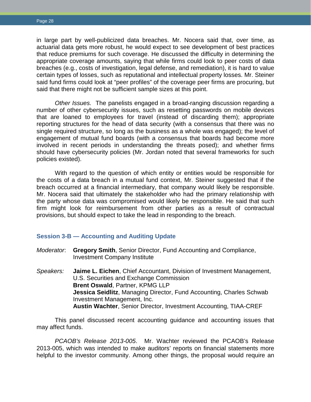in large part by well-publicized data breaches. Mr. Nocera said that, over time, as actuarial data gets more robust, he would expect to see development of best practices that reduce premiums for such coverage. He discussed the difficulty in determining the appropriate coverage amounts, saying that while firms could look to peer costs of data breaches (e.g., costs of investigation, legal defense, and remediation), it is hard to value certain types of losses, such as reputational and intellectual property losses. Mr. Steiner said fund firms could look at "peer profiles" of the coverage peer firms are procuring, but said that there might not be sufficient sample sizes at this point.

*Other Issues.* The panelists engaged in a broad-ranging discussion regarding a number of other cybersecurity issues, such as resetting passwords on mobile devices that are loaned to employees for travel (instead of discarding them); appropriate reporting structures for the head of data security (with a consensus that there was no single required structure, so long as the business as a whole was engaged); the level of engagement of mutual fund boards (with a consensus that boards had become more involved in recent periods in understanding the threats posed); and whether firms should have cybersecurity policies (Mr. Jordan noted that several frameworks for such policies existed).

With regard to the question of which entity or entities would be responsible for the costs of a data breach in a mutual fund context, Mr. Steiner suggested that if the breach occurred at a financial intermediary, that company would likely be responsible. Mr. Nocera said that ultimately the stakeholder who had the primary relationship with the party whose data was compromised would likely be responsible. He said that such firm might look for reimbursement from other parties as a result of contractual provisions, but should expect to take the lead in responding to the breach.

#### <span id="page-30-0"></span>**Session 3-B — Accounting and Auditing Update**

- *Moderator*: **Gregory Smith**, Senior Director, Fund Accounting and Compliance, Investment Company Institute
- *Speakers:* **Jaime L. Eichen**, Chief Accountant, Division of Investment Management, U.S. Securities and Exchange Commission **Brent Oswald**, Partner, KPMG LLP **Jessica Seidlitz**, Managing Director, Fund Accounting, Charles Schwab Investment Management, Inc. **Austin Wachter**, Senior Director, Investment Accounting, TIAA-CREF

This panel discussed recent accounting guidance and accounting issues that may affect funds.

*PCAOB's Release 2013-005*. Mr. Wachter reviewed the PCAOB's Release 2013-005, which was intended to make auditors' reports on financial statements more helpful to the investor community. Among other things, the proposal would require an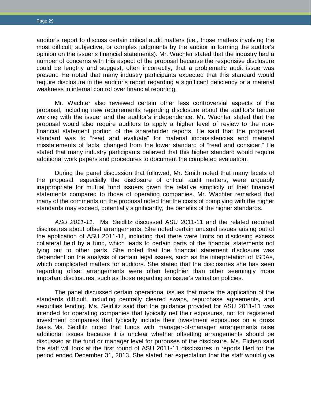auditor's report to discuss certain critical audit matters (i.e., those matters involving the most difficult, subjective, or complex judgments by the auditor in forming the auditor's opinion on the issuer's financial statements). Mr. Wachter stated that the industry had a number of concerns with this aspect of the proposal because the responsive disclosure could be lengthy and suggest, often incorrectly, that a problematic audit issue was present. He noted that many industry participants expected that this standard would require disclosure in the auditor's report regarding a significant deficiency or a material weakness in internal control over financial reporting.

Mr. Wachter also reviewed certain other less controversial aspects of the proposal, including new requirements regarding disclosure about the auditor's tenure working with the issuer and the auditor's independence. Mr. Wachter stated that the proposal would also require auditors to apply a higher level of review to the nonfinancial statement portion of the shareholder reports. He said that the proposed standard was to "read and evaluate" for material inconsistencies and material misstatements of facts, changed from the lower standard of "read and consider." He stated that many industry participants believed that this higher standard would require additional work papers and procedures to document the completed evaluation.

During the panel discussion that followed, Mr. Smith noted that many facets of the proposal, especially the disclosure of critical audit matters, were arguably inappropriate for mutual fund issuers given the relative simplicity of their financial statements compared to those of operating companies. Mr. Wachter remarked that many of the comments on the proposal noted that the costs of complying with the higher standards may exceed, potentially significantly, the benefits of the higher standards.

*ASU 2011-11.* Ms. Seidlitz discussed ASU 2011-11 and the related required disclosures about offset arrangements. She noted certain unusual issues arising out of the application of ASU 2011-11, including that there were limits on disclosing excess collateral held by a fund, which leads to certain parts of the financial statements not tying out to other parts. She noted that the financial statement disclosure was dependent on the analysis of certain legal issues, such as the interpretation of ISDAs, which complicated matters for auditors. She stated that the disclosures she has seen regarding offset arrangements were often lengthier than other seemingly more important disclosures, such as those regarding an issuer's valuation policies.

The panel discussed certain operational issues that made the application of the standards difficult, including centrally cleared swaps, repurchase agreements, and securities lending. Ms. Seidlitz said that the guidance provided for ASU 2011-11 was intended for operating companies that typically net their exposures, not for registered investment companies that typically include their investment exposures on a gross basis. Ms. Seidlitz noted that funds with manager-of-manager arrangements raise additional issues because it is unclear whether offsetting arrangements should be discussed at the fund or manager level for purposes of the disclosure. Ms. Eichen said the staff will look at the first round of ASU 2011-11 disclosures in reports filed for the period ended December 31, 2013. She stated her expectation that the staff would give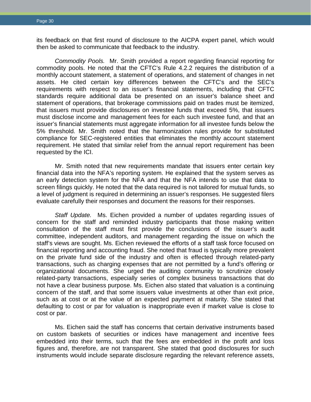its feedback on that first round of disclosure to the AICPA expert panel, which would then be asked to communicate that feedback to the industry.

*Commodity Pools.* Mr. Smith provided a report regarding financial reporting for commodity pools. He noted that the CFTC's Rule 4.2.2 requires the distribution of a monthly account statement, a statement of operations, and statement of changes in net assets. He cited certain key differences between the CFTC's and the SEC's requirements with respect to an issuer's financial statements, including that CFTC standards require additional data be presented on an issuer's balance sheet and statement of operations, that brokerage commissions paid on trades must be itemized, that issuers must provide disclosures on investee funds that exceed 5%, that issuers must disclose income and management fees for each such investee fund, and that an issuer's financial statements must aggregate information for all investee funds below the 5% threshold. Mr. Smith noted that the harmonization rules provide for substituted compliance for SEC-registered entities that eliminates the monthly account statement requirement. He stated that similar relief from the annual report requirement has been requested by the ICI.

Mr. Smith noted that new requirements mandate that issuers enter certain key financial data into the NFA's reporting system. He explained that the system serves as an early detection system for the NFA and that the NFA intends to use that data to screen filings quickly. He noted that the data required is not tailored for mutual funds, so a level of judgment is required in determining an issuer's responses. He suggested filers evaluate carefully their responses and document the reasons for their responses.

*Staff Update.* Ms. Eichen provided a number of updates regarding issues of concern for the staff and reminded industry participants that those making written consultation of the staff must first provide the conclusions of the issuer's audit committee, independent auditors, and management regarding the issue on which the staff's views are sought. Ms. Eichen reviewed the efforts of a staff task force focused on financial reporting and accounting fraud. She noted that fraud is typically more prevalent on the private fund side of the industry and often is effected through related-party transactions, such as charging expenses that are not permitted by a fund's offering or organizational documents. She urged the auditing community to scrutinize closely related-party transactions, especially series of complex business transactions that do not have a clear business purpose. Ms. Eichen also stated that valuation is a continuing concern of the staff, and that some issuers value investments at other than exit price, such as at cost or at the value of an expected payment at maturity. She stated that defaulting to cost or par for valuation is inappropriate even if market value is close to cost or par.

Ms. Eichen said the staff has concerns that certain derivative instruments based on custom baskets of securities or indices have management and incentive fees embedded into their terms, such that the fees are embedded in the profit and loss figures and, therefore, are not transparent. She stated that good disclosures for such instruments would include separate disclosure regarding the relevant reference assets,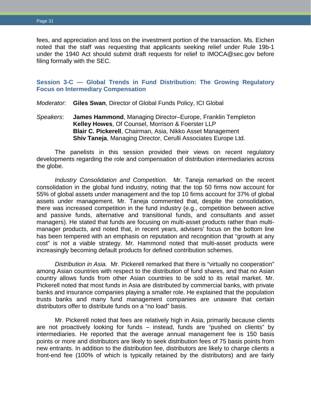fees, and appreciation and loss on the investment portion of the transaction. Ms. Eichen noted that the staff was requesting that applicants seeking relief under Rule 19b-1 under the 1940 Act should submit draft requests for relief to IMOCA@sec.gov before filing formally with the SEC.

# <span id="page-33-0"></span>**Session 3-C — Global Trends in Fund Distribution: The Growing Regulatory Focus on Intermediary Compensation**

*Moderator*: **Giles Swan**, Director of Global Funds Policy, ICI Global

*Speakers*: **James Hammond**, Managing Director–Europe, Franklin Templeton **Kelley Howes**, Of Counsel, Morrison & Foerster LLP **Blair C. Pickerell**, Chairman, Asia, Nikko Asset Management **Shiv Taneja**, Managing Director, Cerulli Associates Europe Ltd.

The panelists in this session provided their views on recent regulatory developments regarding the role and compensation of distribution intermediaries across the globe.

*Industry Consolidation and Competition.* Mr. Taneja remarked on the recent consolidation in the global fund industry, noting that the top 50 firms now account for 55% of global assets under management and the top 10 firms account for 37% of global assets under management. Mr. Taneja commented that, despite the consolidation, there was increased competition in the fund industry (e.g., competition between active and passive funds, alternative and transitional funds, and consultants and asset managers). He stated that funds are focusing on multi-asset products rather than multimanager products, and noted that, in recent years, advisers' focus on the bottom line has been tempered with an emphasis on reputation and recognition that "growth at any cost" is not a viable strategy. Mr. Hammond noted that multi-asset products were increasingly becoming default products for defined contribution schemes.

*Distribution in Asia.* Mr. Pickerell remarked that there is "virtually no cooperation" among Asian countries with respect to the distribution of fund shares, and that no Asian country allows funds from other Asian countries to be sold to its retail market. Mr. Pickerell noted that most funds in Asia are distributed by commercial banks, with private banks and insurance companies playing a smaller role. He explained that the population trusts banks and many fund management companies are unaware that certain distributors offer to distribute funds on a "no load" basis.

Mr. Pickerell noted that fees are relatively high in Asia, primarily because clients are not proactively looking for funds – instead, funds are "pushed on clients" by intermediaries. He reported that the average annual management fee is 150 basis points or more and distributors are likely to seek distribution fees of 75 basis points from new entrants. In addition to the distribution fee, distributors are likely to charge clients a front-end fee (100% of which is typically retained by the distributors) and are fairly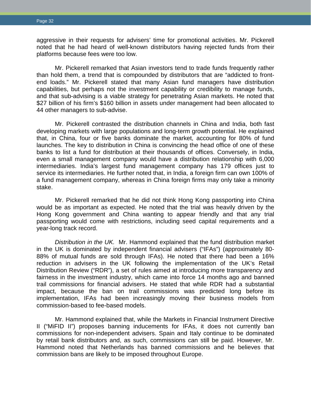aggressive in their requests for advisers' time for promotional activities. Mr. Pickerell noted that he had heard of well-known distributors having rejected funds from their platforms because fees were too low.

Mr. Pickerell remarked that Asian investors tend to trade funds frequently rather than hold them, a trend that is compounded by distributors that are "addicted to frontend loads." Mr. Pickerell stated that many Asian fund managers have distribution capabilities, but perhaps not the investment capability or credibility to manage funds, and that sub-advising is a viable strategy for penetrating Asian markets. He noted that \$27 billion of his firm's \$160 billion in assets under management had been allocated to 44 other managers to sub-advise.

Mr. Pickerell contrasted the distribution channels in China and India, both fast developing markets with large populations and long-term growth potential. He explained that, in China, four or five banks dominate the market, accounting for 80% of fund launches. The key to distribution in China is convincing the head office of one of these banks to list a fund for distribution at their thousands of offices. Conversely, in India, even a small management company would have a distribution relationship with 6,000 intermediaries. India's largest fund management company has 179 offices just to service its intermediaries. He further noted that, in India, a foreign firm can own 100% of a fund management company, whereas in China foreign firms may only take a minority stake.

Mr. Pickerell remarked that he did not think Hong Kong passporting into China would be as important as expected. He noted that the trial was heavily driven by the Hong Kong government and China wanting to appear friendly and that any trial passporting would come with restrictions, including seed capital requirements and a year-long track record.

*Distribution in the UK.* Mr. Hammond explained that the fund distribution market in the UK is dominated by independent financial advisers ("IFAs") (approximately 80- 88% of mutual funds are sold through IFAs). He noted that there had been a 16% reduction in advisers in the UK following the implementation of the UK's Retail Distribution Review ("RDR"), a set of rules aimed at introducing more transparency and fairness in the investment industry, which came into force 14 months ago and banned trail commissions for financial advisers. He stated that while RDR had a substantial impact, because the ban on trail commissions was predicted long before its implementation, IFAs had been increasingly moving their business models from commission-based to fee-based models.

Mr. Hammond explained that, while the Markets in Financial Instrument Directive II ("MiFID II") proposes banning inducements for IFAs, it does not currently ban commissions for non-independent advisers. Spain and Italy continue to be dominated by retail bank distributors and, as such, commissions can still be paid. However, Mr. Hammond noted that Netherlands has banned commissions and he believes that commission bans are likely to be imposed throughout Europe.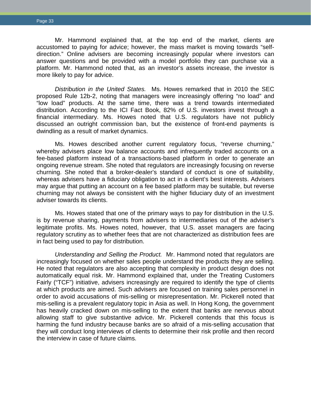Mr. Hammond explained that, at the top end of the market, clients are accustomed to paying for advice; however, the mass market is moving towards "selfdirection." Online advisers are becoming increasingly popular where investors can answer questions and be provided with a model portfolio they can purchase via a platform. Mr. Hammond noted that, as an investor's assets increase, the investor is more likely to pay for advice.

*Distribution in the United States.* Ms. Howes remarked that in 2010 the SEC proposed Rule 12b-2, noting that managers were increasingly offering "no load" and "low load" products. At the same time, there was a trend towards intermediated distribution. According to the ICI Fact Book, 82% of U.S. investors invest through a financial intermediary. Ms. Howes noted that U.S. regulators have not publicly discussed an outright commission ban, but the existence of front-end payments is dwindling as a result of market dynamics.

Ms. Howes described another current regulatory focus, "reverse churning," whereby advisers place low balance accounts and infrequently traded accounts on a fee-based platform instead of a transactions-based platform in order to generate an ongoing revenue stream. She noted that regulators are increasingly focusing on reverse churning. She noted that a broker-dealer's standard of conduct is one of suitability, whereas advisers have a fiduciary obligation to act in a client's best interests. Advisers may argue that putting an account on a fee based platform may be suitable, but reverse churning may not always be consistent with the higher fiduciary duty of an investment adviser towards its clients.

Ms. Howes stated that one of the primary ways to pay for distribution in the U.S. is by revenue sharing, payments from advisers to intermediaries out of the adviser's legitimate profits. Ms. Howes noted, however, that U.S. asset managers are facing regulatory scrutiny as to whether fees that are not characterized as distribution fees are in fact being used to pay for distribution.

*Understanding and Selling the Product.* Mr. Hammond noted that regulators are increasingly focused on whether sales people understand the products they are selling. He noted that regulators are also accepting that complexity in product design does not automatically equal risk. Mr. Hammond explained that, under the Treating Customers Fairly ("TCF") initiative, advisers increasingly are required to identify the type of clients at which products are aimed. Such advisers are focused on training sales personnel in order to avoid accusations of mis-selling or misrepresentation. Mr. Pickerell noted that mis-selling is a prevalent regulatory topic in Asia as well. In Hong Kong, the government has heavily cracked down on mis-selling to the extent that banks are nervous about allowing staff to give substantive advice. Mr. Pickerell contends that this focus is harming the fund industry because banks are so afraid of a mis-selling accusation that they will conduct long interviews of clients to determine their risk profile and then record the interview in case of future claims.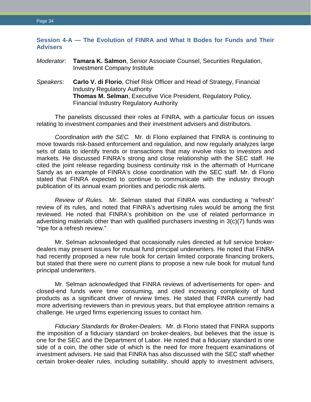# <span id="page-36-0"></span>**Session 4-A — The Evolution of FINRA and What It Bodes for Funds and Their Advisers**

## *Moderator*: **Tamara K. Salmon**, Senior Associate Counsel, Securities Regulation, Investment Company Institute

*Speakers*: **Carlo V. di Florio**, Chief Risk Officer and Head of Strategy, Financial Industry Regulatory Authority **Thomas M. Selman**, Executive Vice President, Regulatory Policy, Financial Industry Regulatory Authority

The panelists discussed their roles at FINRA, with a particular focus on issues relating to investment companies and their investment advisers and distributors.

*Coordination with the SEC.* Mr. di Florio explained that FINRA is continuing to move towards risk-based enforcement and regulation, and now regularly analyzes large sets of data to identify trends or transactions that may involve risks to investors and markets. He discussed FINRA's strong and close relationship with the SEC staff. He cited the joint release regarding business continuity risk in the aftermath of Hurricane Sandy as an example of FINRA's close coordination with the SEC staff. Mr. di Florio stated that FINRA expected to continue to communicate with the industry through publication of its annual exam priorities and periodic risk alerts.

*Review of Rules.* Mr. Selman stated that FINRA was conducting a "refresh" review of its rules, and noted that FINRA's advertising rules would be among the first reviewed. He noted that FINRA's prohibition on the use of related performance in advertising materials other than with qualified purchasers investing in 3(c)(7) funds was "ripe for a refresh review."

Mr. Selman acknowledged that occasionally rules directed at full service brokerdealers may present issues for mutual fund principal underwriters. He noted that FINRA had recently proposed a new rule book for certain limited corporate financing brokers, but stated that there were no current plans to propose a new rule book for mutual fund principal underwriters.

Mr. Selman acknowledged that FINRA reviews of advertisements for open- and closed-end funds were time consuming, and cited increasing complexity of fund products as a significant driver of review times. He stated that FINRA currently had more advertising reviewers than in previous years, but that employee attrition remains a challenge. He urged firms experiencing issues to contact him.

*Fiduciary Standards for Broker-Dealers.* Mr. di Florio stated that FINRA supports the imposition of a fiduciary standard on broker-dealers, but believes that the issue is one for the SEC and the Department of Labor. He noted that a fiduciary standard is one side of a coin, the other side of which is the need for more frequent examinations of investment advisers. He said that FINRA has also discussed with the SEC staff whether certain broker-dealer rules, including suitability, should apply to investment advisers,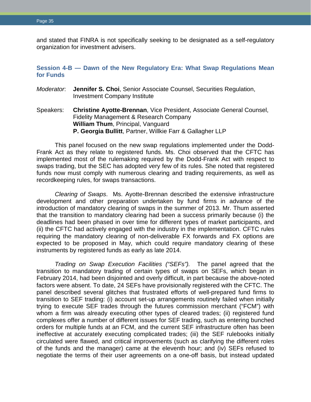and stated that FINRA is not specifically seeking to be designated as a self-regulatory organization for investment advisers.

# <span id="page-37-0"></span>**Session 4-B — Dawn of the New Regulatory Era: What Swap Regulations Mean for Funds**

- *Moderator*: **Jennifer S. Choi**, Senior Associate Counsel, Securities Regulation, Investment Company Institute
- Speakers: **Christine Ayotte-Brennan**, Vice President, Associate General Counsel, Fidelity Management & Research Company **William Thum**, Principal, Vanguard **P. Georgia Bullitt**, Partner, Willkie Farr & Gallagher LLP

This panel focused on the new swap regulations implemented under the Dodd-Frank Act as they relate to registered funds. Ms. Choi observed that the CFTC has implemented most of the rulemaking required by the Dodd-Frank Act with respect to swaps trading, but the SEC has adopted very few of its rules. She noted that registered funds now must comply with numerous clearing and trading requirements, as well as recordkeeping rules, for swaps transactions.

*Clearing of Swaps*. Ms. Ayotte-Brennan described the extensive infrastructure development and other preparation undertaken by fund firms in advance of the introduction of mandatory clearing of swaps in the summer of 2013. Mr. Thum asserted that the transition to mandatory clearing had been a success primarily because (i) the deadlines had been phased in over time for different types of market participants, and (ii) the CFTC had actively engaged with the industry in the implementation. CFTC rules requiring the mandatory clearing of non-deliverable FX forwards and FX options are expected to be proposed in May, which could require mandatory clearing of these instruments by registered funds as early as late 2014.

*Trading on Swap Execution Facilities ("SEFs").* The panel agreed that the transition to mandatory trading of certain types of swaps on SEFs, which began in February 2014, had been disjointed and overly difficult, in part because the above-noted factors were absent. To date, 24 SEFs have provisionally registered with the CFTC. The panel described several glitches that frustrated efforts of well-prepared fund firms to transition to SEF trading: (i) account set-up arrangements routinely failed when initially trying to execute SEF trades through the futures commission merchant ("FCM") with whom a firm was already executing other types of cleared trades; (ii) registered fund complexes offer a number of different issues for SEF trading, such as entering bunched orders for multiple funds at an FCM, and the current SEF infrastructure often has been ineffective at accurately executing complicated trades; (iii) the SEF rulebooks initially circulated were flawed, and critical improvements (such as clarifying the different roles of the funds and the manager) came at the eleventh hour; and (iv) SEFs refused to negotiate the terms of their user agreements on a one-off basis, but instead updated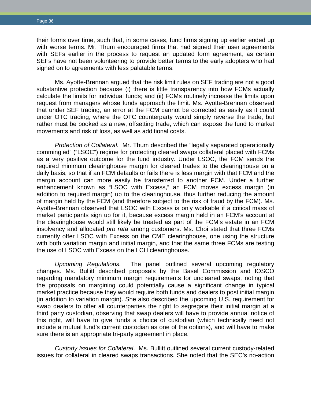their forms over time, such that, in some cases, fund firms signing up earlier ended up with worse terms. Mr. Thum encouraged firms that had signed their user agreements with SEFs earlier in the process to request an updated form agreement, as certain SEFs have not been volunteering to provide better terms to the early adopters who had signed on to agreements with less palatable terms.

Ms. Ayotte-Brennan argued that the risk limit rules on SEF trading are not a good substantive protection because (i) there is little transparency into how FCMs actually calculate the limits for individual funds; and (ii) FCMs routinely increase the limits upon request from managers whose funds approach the limit. Ms. Ayotte-Brennan observed that under SEF trading, an error at the FCM cannot be corrected as easily as it could under OTC trading, where the OTC counterparty would simply reverse the trade, but rather must be booked as a new, offsetting trade, which can expose the fund to market movements and risk of loss, as well as additional costs.

*Protection of Collateral.* Mr. Thum described the "legally separated operationally commingled" ("LSOC") regime for protecting cleared swaps collateral placed with FCMs as a very positive outcome for the fund industry. Under LSOC, the FCM sends the required minimum clearinghouse margin for cleared trades to the clearinghouse on a daily basis, so that if an FCM defaults or fails there is less margin with that FCM and the margin account can more easily be transferred to another FCM. Under a further enhancement known as "LSOC with Excess," an FCM moves excess margin (in addition to required margin) up to the clearinghouse, thus further reducing the amount of margin held by the FCM (and therefore subject to the risk of fraud by the FCM). Ms. Ayotte-Brennan observed that LSOC with Excess is only workable if a critical mass of market participants sign up for it, because excess margin held in an FCM's account at the clearinghouse would still likely be treated as part of the FCM's estate in an FCM insolvency and allocated *pro rata* among customers. Ms. Choi stated that three FCMs currently offer LSOC with Excess on the CME clearinghouse, one using the structure with both variation margin and initial margin, and that the same three FCMs are testing the use of LSOC with Excess on the LCH clearinghouse.

*Upcoming Regulations.* The panel outlined several upcoming regulatory changes. Ms. Bullitt described proposals by the Basel Commission and IOSCO regarding mandatory minimum margin requirements for uncleared swaps, noting that the proposals on margining could potentially cause a significant change in typical market practice because they would require both funds and dealers to post initial margin (in addition to variation margin). She also described the upcoming U.S. requirement for swap dealers to offer all counterparties the right to segregate their initial margin at a third party custodian, observing that swap dealers will have to provide annual notice of this right, will have to give funds a choice of custodian (which technically need not include a mutual fund's current custodian as one of the options), and will have to make sure there is an appropriate tri-party agreement in place.

*Custody Issues for Collateral*. Ms. Bullitt outlined several current custody-related issues for collateral in cleared swaps transactions. She noted that the SEC's no-action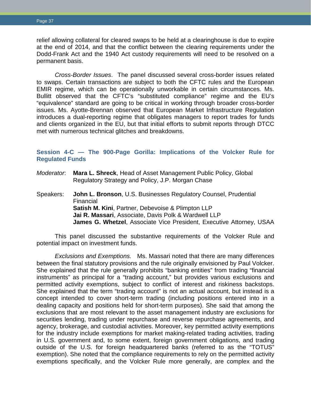relief allowing collateral for cleared swaps to be held at a clearinghouse is due to expire at the end of 2014, and that the conflict between the clearing requirements under the Dodd-Frank Act and the 1940 Act custody requirements will need to be resolved on a permanent basis.

*Cross-Border Issues*. The panel discussed several cross-border issues related to swaps. Certain transactions are subject to both the CFTC rules and the European EMIR regime, which can be operationally unworkable in certain circumstances. Ms. Bullitt observed that the CFTC's "substituted compliance" regime and the EU's "equivalence" standard are going to be critical in working through broader cross-border issues. Ms. Ayotte-Brennan observed that European Market Infrastructure Regulation introduces a dual-reporting regime that obligates managers to report trades for funds and clients organized in the EU, but that initial efforts to submit reports through DTCC met with numerous technical glitches and breakdowns.

# <span id="page-39-0"></span>**Session 4-C — The 900-Page Gorilla: Implications of the Volcker Rule for Regulated Funds**

- *Moderator*: **Mara L. Shreck**, Head of Asset Management Public Policy, Global Regulatory Strategy and Policy, J.P. Morgan Chase
- Speakers: **John L. Bronson**, U.S. Businesses Regulatory Counsel, Prudential Financial **Satish M. Kini**, Partner, Debevoise & Plimpton LLP **Jai R. Massari**, Associate, Davis Polk & Wardwell LLP **James G. Whetzel**, Associate Vice President, Executive Attorney, USAA

This panel discussed the substantive requirements of the Volcker Rule and potential impact on investment funds.

*Exclusions and Exemptions.* Ms. Massari noted that there are many differences between the final statutory provisions and the rule originally envisioned by Paul Volcker. She explained that the rule generally prohibits "banking entities" from trading "financial instruments" as principal for a "trading account," but provides various exclusions and permitted activity exemptions, subject to conflict of interest and riskiness backstops. She explained that the term "trading account" is not an actual account, but instead is a concept intended to cover short-term trading (including positions entered into in a dealing capacity and positions held for short-term purposes). She said that among the exclusions that are most relevant to the asset management industry are exclusions for securities lending, trading under repurchase and reverse repurchase agreements, and agency, brokerage, and custodial activities. Moreover, key permitted activity exemptions for the industry include exemptions for market making-related trading activities, trading in U.S. government and, to some extent, foreign government obligations, and trading outside of the U.S. for foreign headquartered banks (referred to as the "TOTUS" exemption). She noted that the compliance requirements to rely on the permitted activity exemptions specifically, and the Volcker Rule more generally, are complex and the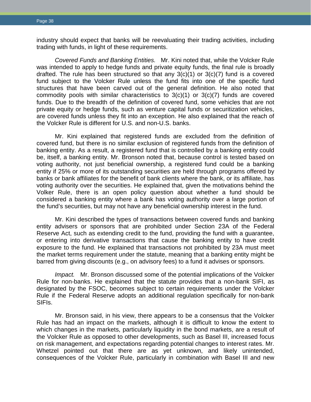industry should expect that banks will be reevaluating their trading activities, including trading with funds, in light of these requirements.

*Covered Funds and Banking Entities.* Mr. Kini noted that, while the Volcker Rule was intended to apply to hedge funds and private equity funds, the final rule is broadly drafted. The rule has been structured so that any  $3(c)(1)$  or  $3(c)(7)$  fund is a covered fund subject to the Volcker Rule unless the fund fits into one of the specific fund structures that have been carved out of the general definition. He also noted that commodity pools with similar characteristics to  $3(c)(1)$  or  $3(c)(7)$  funds are covered funds. Due to the breadth of the definition of covered fund, some vehicles that are not private equity or hedge funds, such as venture capital funds or securitization vehicles, are covered funds unless they fit into an exception. He also explained that the reach of the Volcker Rule is different for U.S. and non-U.S. banks.

Mr. Kini explained that registered funds are excluded from the definition of covered fund, but there is no similar exclusion of registered funds from the definition of banking entity. As a result, a registered fund that is controlled by a banking entity could be, itself, a banking entity. Mr. Bronson noted that, because control is tested based on voting authority, not just beneficial ownership, a registered fund could be a banking entity if 25% or more of its outstanding securities are held through programs offered by banks or bank affiliates for the benefit of bank clients where the bank, or its affiliate, has voting authority over the securities. He explained that, given the motivations behind the Volker Rule, there is an open policy question about whether a fund should be considered a banking entity where a bank has voting authority over a large portion of the fund's securities, but may not have any beneficial ownership interest in the fund.

Mr. Kini described the types of transactions between covered funds and banking entity advisers or sponsors that are prohibited under Section 23A of the Federal Reserve Act, such as extending credit to the fund, providing the fund with a guarantee, or entering into derivative transactions that cause the banking entity to have credit exposure to the fund. He explained that transactions not prohibited by 23A must meet the market terms requirement under the statute, meaning that a banking entity might be barred from giving discounts (e.g., on advisory fees) to a fund it advises or sponsors.

*Impact.* Mr. Bronson discussed some of the potential implications of the Volcker Rule for non-banks. He explained that the statute provides that a non-bank SIFI, as designated by the FSOC, becomes subject to certain requirements under the Volcker Rule if the Federal Reserve adopts an additional regulation specifically for non-bank SIFIs.

Mr. Bronson said, in his view, there appears to be a consensus that the Volcker Rule has had an impact on the markets, although it is difficult to know the extent to which changes in the markets, particularly liquidity in the bond markets, are a result of the Volcker Rule as opposed to other developments, such as Basel III, increased focus on risk management, and expectations regarding potential changes to interest rates. Mr. Whetzel pointed out that there are as yet unknown, and likely unintended, consequences of the Volcker Rule, particularly in combination with Basel III and new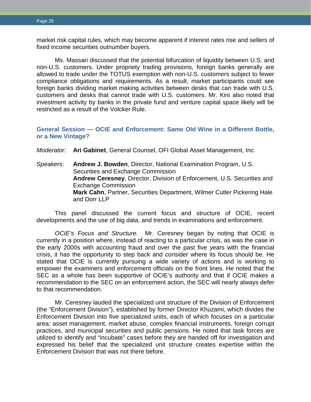market risk capital rules, which may become apparent if interest rates rise and sellers of fixed income securities outnumber buyers.

Ms. Massari discussed that the potential bifurcation of liquidity between U.S. and non-U.S. customers. Under propriety trading provisions, foreign banks generally are allowed to trade under the TOTUS exemption with non-U.S. customers subject to fewer compliance obligations and requirements. As a result, market participants could see foreign banks dividing market making activities between desks that can trade with U.S. customers and desks that cannot trade with U.S. customers. Mr. Kini also noted that investment activity by banks in the private fund and venture capital space likely will be restricted as a result of the Volcker Rule.

# <span id="page-41-0"></span>**General Session — OCIE and Enforcement: Same Old Wine in a Different Bottle, or a New Vintage?**

*Moderator*: **Ari Gabinet**, General Counsel, OFI Global Asset Management, Inc.

*Speakers*: **Andrew J. Bowden**, Director, National Examination Program, U.S. Securities and Exchange Commission **Andrew Ceresney**, Director, Division of Enforcement, U.S. Securities and Exchange Commission **Mark Cahn**, Partner, Securities Department, Wilmer Cutler Pickering Hale and Dorr LLP

This panel discussed the current focus and structure of OCIE, recent developments and the use of big data, and trends in examinations and enforcement.

*OCIE's Focus and Structure.* Mr. Ceresney began by noting that OCIE is currently in a position where, instead of reacting to a particular crisis, as was the case in the early 2000s with accounting fraud and over the past five years with the financial crisis, it has the opportunity to step back and consider where its focus should be. He stated that OCIE is currently pursuing a wide variety of actions and is working to empower the examiners and enforcement officials on the front lines. He noted that the SEC as a whole has been supportive of OCIE's authority and that if OCIE makes a recommendation to the SEC on an enforcement action, the SEC will nearly always defer to that recommendation.

Mr. Ceresney lauded the specialized unit structure of the Division of Enforcement (the "Enforcement Division"), established by former Director Khuzami, which divides the Enforcement Division into five specialized units, each of which focuses on a particular area: asset management, market abuse, complex financial instruments, foreign corrupt practices, and municipal securities and public pensions. He noted that task forces are utilized to identify and "incubate" cases before they are handed off for investigation and expressed his belief that the specialized unit structure creates expertise within the Enforcement Division that was not there before.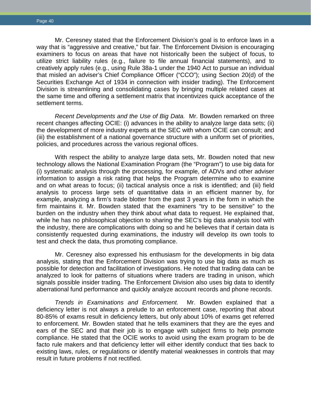Mr. Ceresney stated that the Enforcement Division's goal is to enforce laws in a way that is "aggressive and creative," but fair. The Enforcement Division is encouraging examiners to focus on areas that have not historically been the subject of focus, to utilize strict liability rules (e.g., failure to file annual financial statements), and to creatively apply rules (e.g., using Rule 38a-1 under the 1940 Act to pursue an individual that misled an adviser's Chief Compliance Officer ("CCO"); using Section 20(d) of the Securities Exchange Act of 1934 in connection with insider trading). The Enforcement Division is streamlining and consolidating cases by bringing multiple related cases at the same time and offering a settlement matrix that incentivizes quick acceptance of the settlement terms.

*Recent Developments and the Use of Big Data.* Mr. Bowden remarked on three recent changes affecting OCIE: (i) advances in the ability to analyze large data sets; (ii) the development of more industry experts at the SEC with whom OCIE can consult; and (iii) the establishment of a national governance structure with a uniform set of priorities, policies, and procedures across the various regional offices.

With respect the ability to analyze large data sets, Mr. Bowden noted that new technology allows the National Examination Program (the "Program") to use big data for (i) systematic analysis through the processing, for example, of ADVs and other adviser information to assign a risk rating that helps the Program determine who to examine and on what areas to focus; (ii) tactical analysis once a risk is identified; and (iii) field analysis to process large sets of quantitative data in an efficient manner by, for example, analyzing a firm's trade blotter from the past 3 years in the form in which the firm maintains it. Mr. Bowden stated that the examiners "try to be sensitive" to the burden on the industry when they think about what data to request. He explained that, while he has no philosophical objection to sharing the SEC's big data analysis tool with the industry, there are complications with doing so and he believes that if certain data is consistently requested during examinations, the industry will develop its own tools to test and check the data, thus promoting compliance.

Mr. Ceresney also expressed his enthusiasm for the developments in big data analysis, stating that the Enforcement Division was trying to use big data as much as possible for detection and facilitation of investigations. He noted that trading data can be analyzed to look for patterns of situations where traders are trading in unison, which signals possible insider trading. The Enforcement Division also uses big data to identify aberrational fund performance and quickly analyze account records and phone records.

*Trends in Examinations and Enforcement.* Mr. Bowden explained that a deficiency letter is not always a prelude to an enforcement case, reporting that about 80-85% of exams result in deficiency letters, but only about 10% of exams get referred to enforcement. Mr. Bowden stated that he tells examiners that they are the eyes and ears of the SEC and that their job is to engage with subject firms to help promote compliance. He stated that the OCIE works to avoid using the exam program to be de facto rule makers and that deficiency letter will either identify conduct that ties back to existing laws, rules, or regulations or identify material weaknesses in controls that may result in future problems if not rectified.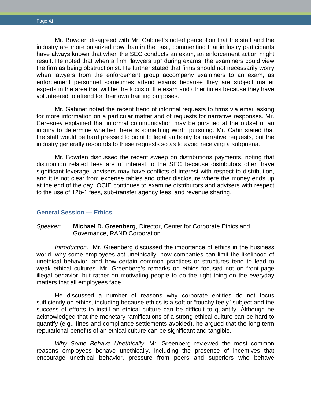Mr. Bowden disagreed with Mr. Gabinet's noted perception that the staff and the industry are more polarized now than in the past, commenting that industry participants have always known that when the SEC conducts an exam, an enforcement action might result. He noted that when a firm "lawyers up" during exams, the examiners could view the firm as being obstructionist. He further stated that firms should not necessarily worry when lawyers from the enforcement group accompany examiners to an exam, as enforcement personnel sometimes attend exams because they are subject matter experts in the area that will be the focus of the exam and other times because they have volunteered to attend for their own training purposes.

Mr. Gabinet noted the recent trend of informal requests to firms via email asking for more information on a particular matter and of requests for narrative responses. Mr. Ceresney explained that informal communication may be pursued at the outset of an inquiry to determine whether there is something worth pursuing. Mr. Cahn stated that the staff would be hard pressed to point to legal authority for narrative requests, but the industry generally responds to these requests so as to avoid receiving a subpoena.

Mr. Bowden discussed the recent sweep on distributions payments, noting that distribution related fees are of interest to the SEC because distributors often have significant leverage, advisers may have conflicts of interest with respect to distribution, and it is not clear from expense tables and other disclosure where the money ends up at the end of the day. OCIE continues to examine distributors and advisers with respect to the use of 12b-1 fees, sub-transfer agency fees, and revenue sharing.

#### <span id="page-43-0"></span>**General Session — Ethics**

#### *Speaker*: **Michael D. Greenberg**, Director, Center for Corporate Ethics and Governance, RAND Corporation

*Introduction.* Mr. Greenberg discussed the importance of ethics in the business world, why some employees act unethically, how companies can limit the likelihood of unethical behavior, and how certain common practices or structures tend to lead to weak ethical cultures. Mr. Greenberg's remarks on ethics focused not on front-page illegal behavior, but rather on motivating people to do the right thing on the everyday matters that all employees face.

He discussed a number of reasons why corporate entities do not focus sufficiently on ethics, including because ethics is a soft or "touchy feely" subject and the success of efforts to instill an ethical culture can be difficult to quantify. Although he acknowledged that the monetary ramifications of a strong ethical culture can be hard to quantify (e.g., fines and compliance settlements avoided), he argued that the long-term reputational benefits of an ethical culture can be significant and tangible.

*Why Some Behave Unethically.* Mr. Greenberg reviewed the most common reasons employees behave unethically, including the presence of incentives that encourage unethical behavior, pressure from peers and superiors who behave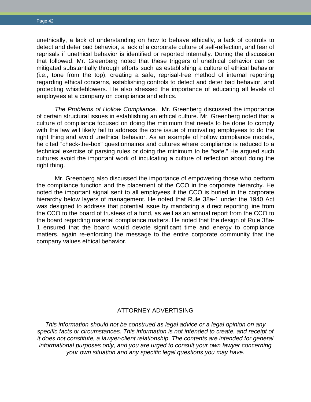unethically, a lack of understanding on how to behave ethically, a lack of controls to detect and deter bad behavior, a lack of a corporate culture of self-reflection, and fear of reprisals if unethical behavior is identified or reported internally. During the discussion that followed, Mr. Greenberg noted that these triggers of unethical behavior can be mitigated substantially through efforts such as establishing a culture of ethical behavior (i.e., tone from the top), creating a safe, reprisal-free method of internal reporting regarding ethical concerns, establishing controls to detect and deter bad behavior, and protecting whistleblowers. He also stressed the importance of educating all levels of employees at a company on compliance and ethics.

*The Problems of Hollow Compliance.* Mr. Greenberg discussed the importance of certain structural issues in establishing an ethical culture. Mr. Greenberg noted that a culture of compliance focused on doing the minimum that needs to be done to comply with the law will likely fail to address the core issue of motivating employees to do the right thing and avoid unethical behavior. As an example of hollow compliance models, he cited "check-the-box" questionnaires and cultures where compliance is reduced to a technical exercise of parsing rules or doing the minimum to be "safe." He argued such cultures avoid the important work of inculcating a culture of reflection about doing the right thing.

Mr. Greenberg also discussed the importance of empowering those who perform the compliance function and the placement of the CCO in the corporate hierarchy. He noted the important signal sent to all employees if the CCO is buried in the corporate hierarchy below layers of management. He noted that Rule 38a-1 under the 1940 Act was designed to address that potential issue by mandating a direct reporting line from the CCO to the board of trustees of a fund, as well as an annual report from the CCO to the board regarding material compliance matters. He noted that the design of Rule 38a-1 ensured that the board would devote significant time and energy to compliance matters, again re-enforcing the message to the entire corporate community that the company values ethical behavior.

## ATTORNEY ADVERTISING

*This information should not be construed as legal advice or a legal opinion on any specific facts or circumstances. This information is not intended to create, and receipt of it does not constitute, a lawyer-client relationship. The contents are intended for general informational purposes only, and you are urged to consult your own lawyer concerning your own situation and any specific legal questions you may have.*